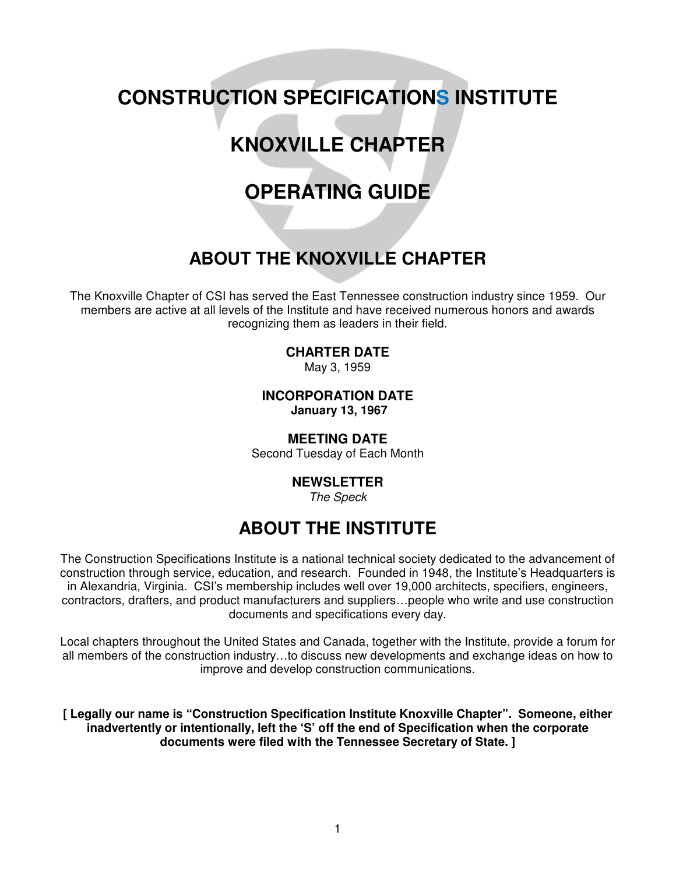# **CONSTRUCTION SPECIFICATIONS INSTITUTE**

# **KNOXVILLE CHAPTER**

# **OPERATING GUIDE**

# **ABOUT THE KNOXVILLE CHAPTER**

The Knoxville Chapter of CSI has served the East Tennessee construction industry since 1959. Our members are active at all levels of the Institute and have received numerous honors and awards recognizing them as leaders in their field.

# **CHARTER DATE**

May 3, 1959

**INCORPORATION DATE January 13, 1967** 

**MEETING DATE** Second Tuesday of Each Month

# **NEWSLETTER**

The Speck

# **ABOUT THE INSTITUTE**

The Construction Specifications Institute is a national technical society dedicated to the advancement of construction through service, education, and research. Founded in 1948, the Institute's Headquarters is in Alexandria, Virginia. CSI's membership includes well over 19,000 architects, specifiers, engineers, contractors, drafters, and product manufacturers and suppliers…people who write and use construction documents and specifications every day.

Local chapters throughout the United States and Canada, together with the Institute, provide a forum for all members of the construction industry…to discuss new developments and exchange ideas on how to improve and develop construction communications.

**[ Legally our name is "Construction Specification Institute Knoxville Chapter". Someone, either inadvertently or intentionally, left the 'S' off the end of Specification when the corporate documents were filed with the Tennessee Secretary of State. ]**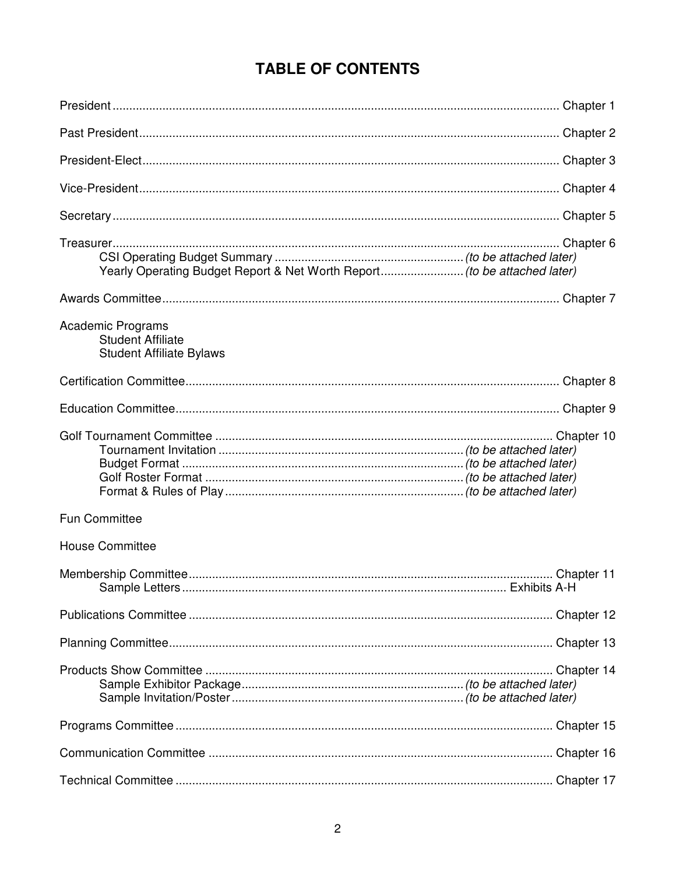# **TABLE OF CONTENTS**

| Yearly Operating Budget Report & Net Worth Report (to be attached later)         |  |
|----------------------------------------------------------------------------------|--|
|                                                                                  |  |
| Academic Programs<br><b>Student Affiliate</b><br><b>Student Affiliate Bylaws</b> |  |
|                                                                                  |  |
|                                                                                  |  |
|                                                                                  |  |
| <b>Fun Committee</b>                                                             |  |
| <b>House Committee</b>                                                           |  |
|                                                                                  |  |
|                                                                                  |  |
|                                                                                  |  |
|                                                                                  |  |
|                                                                                  |  |
|                                                                                  |  |
|                                                                                  |  |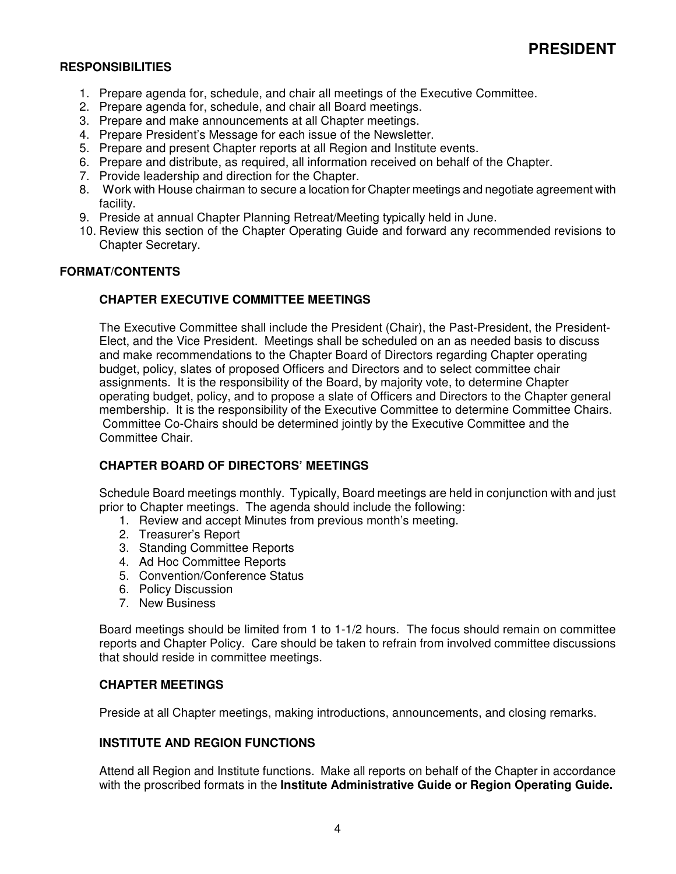- 1. Prepare agenda for, schedule, and chair all meetings of the Executive Committee.
- 2. Prepare agenda for, schedule, and chair all Board meetings.
- 3. Prepare and make announcements at all Chapter meetings.
- 4. Prepare President's Message for each issue of the Newsletter.
- 5. Prepare and present Chapter reports at all Region and Institute events.
- 6. Prepare and distribute, as required, all information received on behalf of the Chapter.
- 7. Provide leadership and direction for the Chapter.
- 8. Work with House chairman to secure a location for Chapter meetings and negotiate agreement with facility.
- 9. Preside at annual Chapter Planning Retreat/Meeting typically held in June.
- 10. Review this section of the Chapter Operating Guide and forward any recommended revisions to Chapter Secretary.

#### **FORMAT/CONTENTS**

#### **CHAPTER EXECUTIVE COMMITTEE MEETINGS**

The Executive Committee shall include the President (Chair), the Past-President, the President-Elect, and the Vice President. Meetings shall be scheduled on an as needed basis to discuss and make recommendations to the Chapter Board of Directors regarding Chapter operating budget, policy, slates of proposed Officers and Directors and to select committee chair assignments. It is the responsibility of the Board, by majority vote, to determine Chapter operating budget, policy, and to propose a slate of Officers and Directors to the Chapter general membership. It is the responsibility of the Executive Committee to determine Committee Chairs. Committee Co-Chairs should be determined jointly by the Executive Committee and the Committee Chair.

#### **CHAPTER BOARD OF DIRECTORS' MEETINGS**

Schedule Board meetings monthly. Typically, Board meetings are held in conjunction with and just prior to Chapter meetings. The agenda should include the following:

- 1. Review and accept Minutes from previous month's meeting.
- 2. Treasurer's Report
- 3. Standing Committee Reports
- 4. Ad Hoc Committee Reports
- 5. Convention/Conference Status
- 6. Policy Discussion
- 7. New Business

Board meetings should be limited from 1 to 1-1/2 hours. The focus should remain on committee reports and Chapter Policy. Care should be taken to refrain from involved committee discussions that should reside in committee meetings.

#### **CHAPTER MEETINGS**

Preside at all Chapter meetings, making introductions, announcements, and closing remarks.

#### **INSTITUTE AND REGION FUNCTIONS**

Attend all Region and Institute functions. Make all reports on behalf of the Chapter in accordance with the proscribed formats in the **Institute Administrative Guide or Region Operating Guide.**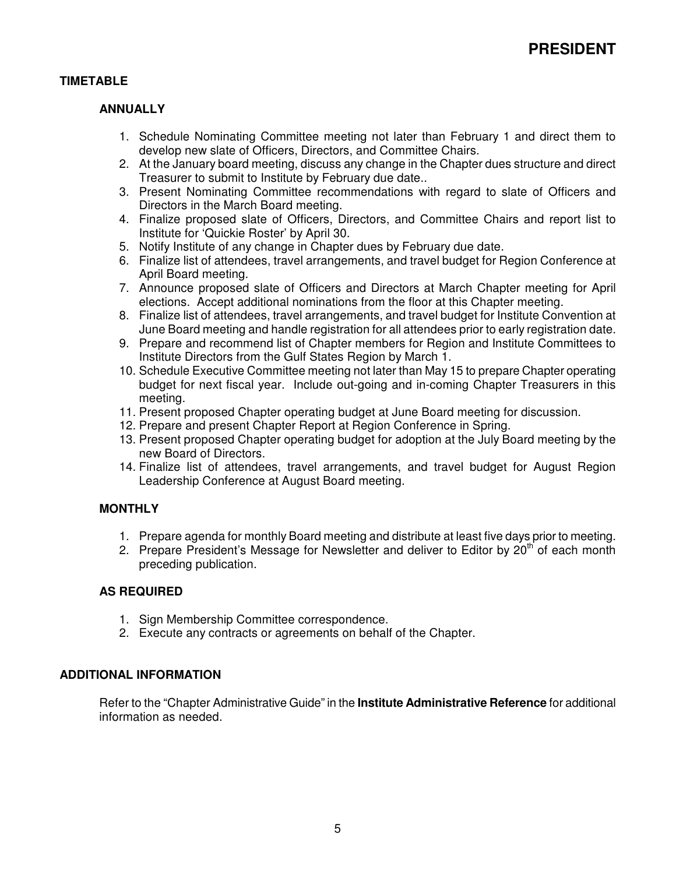# **TIMETABLE**

### **ANNUALLY**

- 1. Schedule Nominating Committee meeting not later than February 1 and direct them to develop new slate of Officers, Directors, and Committee Chairs.
- 2. At the January board meeting, discuss any change in the Chapter dues structure and direct Treasurer to submit to Institute by February due date..
- 3. Present Nominating Committee recommendations with regard to slate of Officers and Directors in the March Board meeting.
- 4. Finalize proposed slate of Officers, Directors, and Committee Chairs and report list to Institute for 'Quickie Roster' by April 30.
- 5. Notify Institute of any change in Chapter dues by February due date.
- 6. Finalize list of attendees, travel arrangements, and travel budget for Region Conference at April Board meeting.
- 7. Announce proposed slate of Officers and Directors at March Chapter meeting for April elections. Accept additional nominations from the floor at this Chapter meeting.
- 8. Finalize list of attendees, travel arrangements, and travel budget for Institute Convention at June Board meeting and handle registration for all attendees prior to early registration date.
- 9. Prepare and recommend list of Chapter members for Region and Institute Committees to Institute Directors from the Gulf States Region by March 1.
- 10. Schedule Executive Committee meeting not later than May 15 to prepare Chapter operating budget for next fiscal year. Include out-going and in-coming Chapter Treasurers in this meeting.
- 11. Present proposed Chapter operating budget at June Board meeting for discussion.
- 12. Prepare and present Chapter Report at Region Conference in Spring.
- 13. Present proposed Chapter operating budget for adoption at the July Board meeting by the new Board of Directors.
- 14. Finalize list of attendees, travel arrangements, and travel budget for August Region Leadership Conference at August Board meeting.

#### **MONTHLY**

- 1. Prepare agenda for monthly Board meeting and distribute at least five days prior to meeting.
- 2. Prepare President's Message for Newsletter and deliver to Editor by 20<sup>th</sup> of each month preceding publication.

#### **AS REQUIRED**

- 1. Sign Membership Committee correspondence.
- 2. Execute any contracts or agreements on behalf of the Chapter.

#### **ADDITIONAL INFORMATION**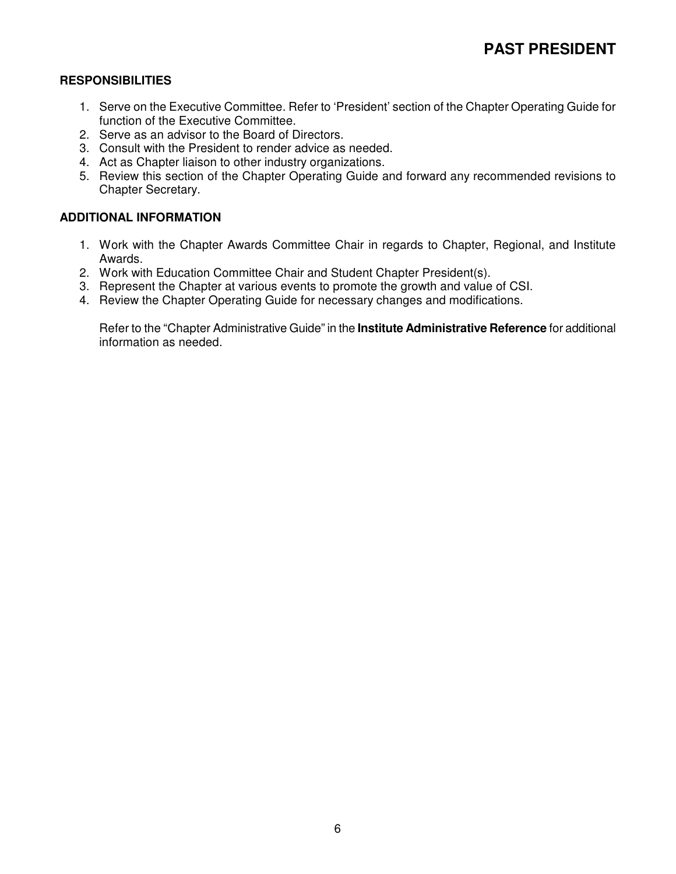- 1. Serve on the Executive Committee. Refer to 'President' section of the Chapter Operating Guide for function of the Executive Committee.
- 2. Serve as an advisor to the Board of Directors.
- 3. Consult with the President to render advice as needed.
- 4. Act as Chapter liaison to other industry organizations.
- 5. Review this section of the Chapter Operating Guide and forward any recommended revisions to Chapter Secretary.

### **ADDITIONAL INFORMATION**

- 1. Work with the Chapter Awards Committee Chair in regards to Chapter, Regional, and Institute Awards.
- 2. Work with Education Committee Chair and Student Chapter President(s).
- 3. Represent the Chapter at various events to promote the growth and value of CSI.
- 4. Review the Chapter Operating Guide for necessary changes and modifications.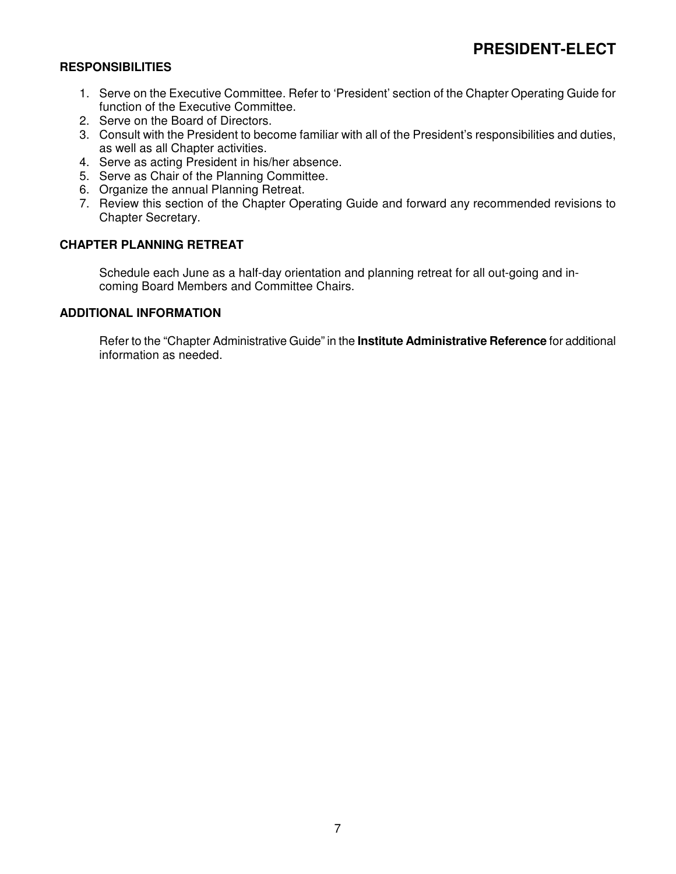- 1. Serve on the Executive Committee. Refer to 'President' section of the Chapter Operating Guide for function of the Executive Committee.
- 2. Serve on the Board of Directors.
- 3. Consult with the President to become familiar with all of the President's responsibilities and duties, as well as all Chapter activities.
- 4. Serve as acting President in his/her absence.
- 5. Serve as Chair of the Planning Committee.
- 6. Organize the annual Planning Retreat.
- 7. Review this section of the Chapter Operating Guide and forward any recommended revisions to Chapter Secretary.

# **CHAPTER PLANNING RETREAT**

 Schedule each June as a half-day orientation and planning retreat for all out-going and incoming Board Members and Committee Chairs.

#### **ADDITIONAL INFORMATION**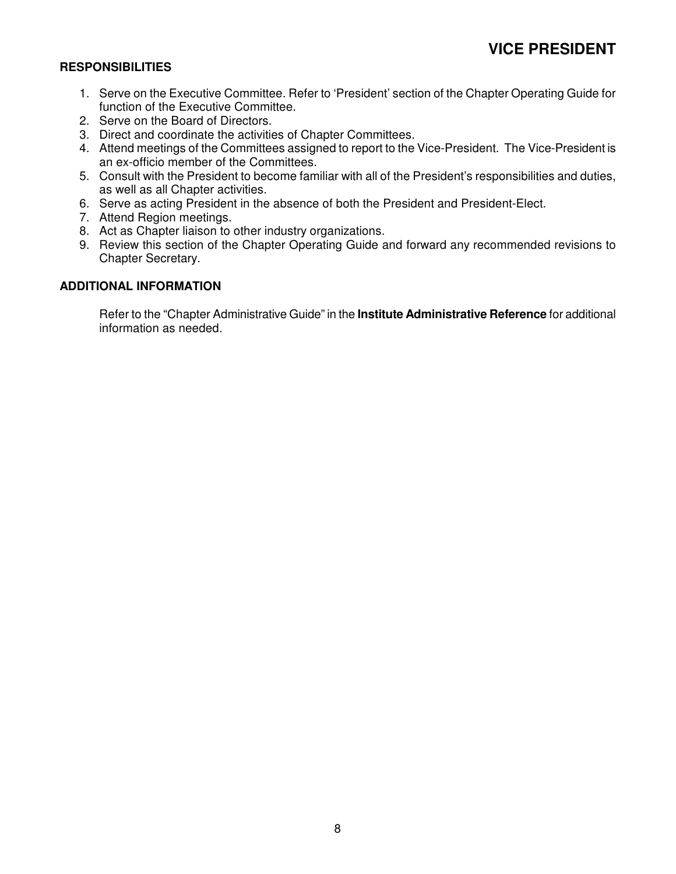- 1. Serve on the Executive Committee. Refer to 'President' section of the Chapter Operating Guide for function of the Executive Committee.
- 2. Serve on the Board of Directors.
- 3. Direct and coordinate the activities of Chapter Committees.
- 4. Attend meetings of the Committees assigned to report to the Vice-President. The Vice-President is an ex-officio member of the Committees.
- 5. Consult with the President to become familiar with all of the President's responsibilities and duties, as well as all Chapter activities.
- 6. Serve as acting President in the absence of both the President and President-Elect.
- 7. Attend Region meetings.
- 8. Act as Chapter liaison to other industry organizations.
- 9. Review this section of the Chapter Operating Guide and forward any recommended revisions to Chapter Secretary.

# **ADDITIONAL INFORMATION**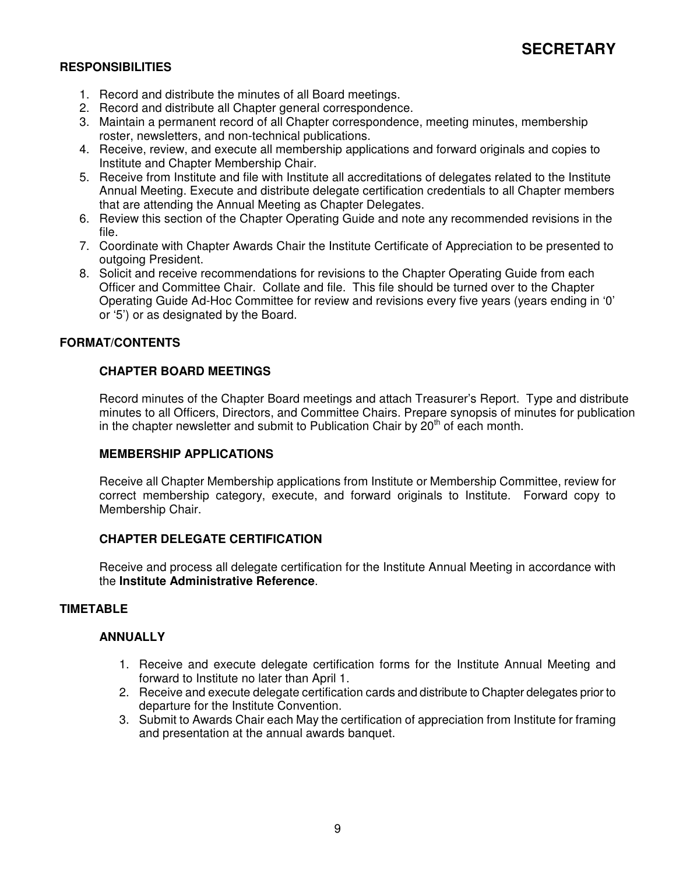# **SECRETARY**

# **RESPONSIBILITIES**

- 1. Record and distribute the minutes of all Board meetings.
- 2. Record and distribute all Chapter general correspondence.
- 3. Maintain a permanent record of all Chapter correspondence, meeting minutes, membership roster, newsletters, and non-technical publications.
- 4. Receive, review, and execute all membership applications and forward originals and copies to Institute and Chapter Membership Chair.
- 5. Receive from Institute and file with Institute all accreditations of delegates related to the Institute Annual Meeting. Execute and distribute delegate certification credentials to all Chapter members that are attending the Annual Meeting as Chapter Delegates.
- 6. Review this section of the Chapter Operating Guide and note any recommended revisions in the file.
- 7. Coordinate with Chapter Awards Chair the Institute Certificate of Appreciation to be presented to outgoing President.
- 8. Solicit and receive recommendations for revisions to the Chapter Operating Guide from each Officer and Committee Chair. Collate and file. This file should be turned over to the Chapter Operating Guide Ad-Hoc Committee for review and revisions every five years (years ending in '0' or '5') or as designated by the Board.

#### **FORMAT/CONTENTS**

#### **CHAPTER BOARD MEETINGS**

Record minutes of the Chapter Board meetings and attach Treasurer's Report. Type and distribute minutes to all Officers, Directors, and Committee Chairs. Prepare synopsis of minutes for publication in the chapter newsletter and submit to Publication Chair by  $20<sup>th</sup>$  of each month.

#### **MEMBERSHIP APPLICATIONS**

Receive all Chapter Membership applications from Institute or Membership Committee, review for correct membership category, execute, and forward originals to Institute. Forward copy to Membership Chair.

#### **CHAPTER DELEGATE CERTIFICATION**

Receive and process all delegate certification for the Institute Annual Meeting in accordance with the **Institute Administrative Reference**.

#### **TIMETABLE**

#### **ANNUALLY**

- 1. Receive and execute delegate certification forms for the Institute Annual Meeting and forward to Institute no later than April 1.
- 2. Receive and execute delegate certification cards and distribute to Chapter delegates prior to departure for the Institute Convention.
- 3. Submit to Awards Chair each May the certification of appreciation from Institute for framing and presentation at the annual awards banquet.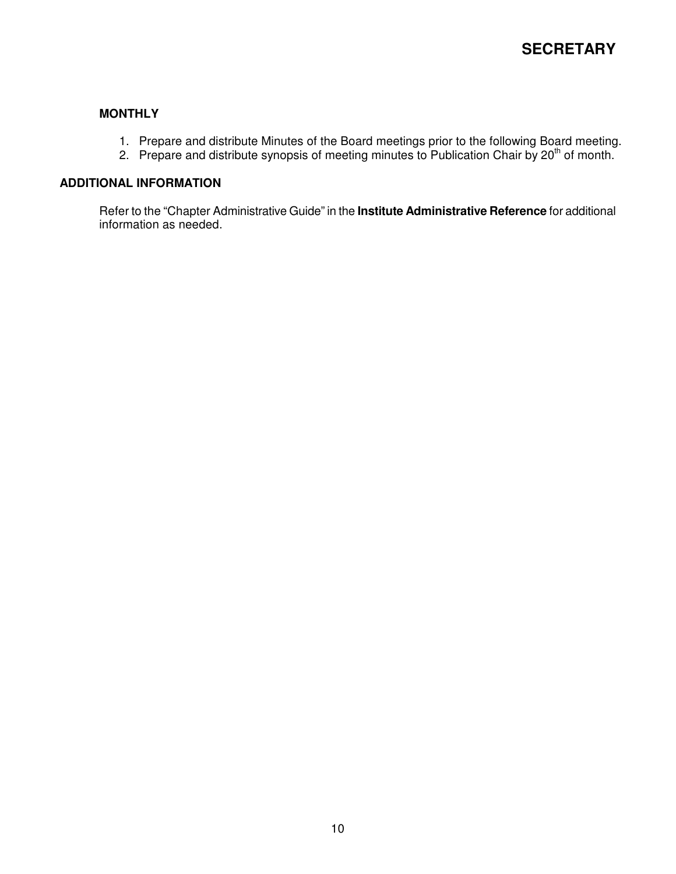## **MONTHLY**

- 1. Prepare and distribute Minutes of the Board meetings prior to the following Board meeting.
- 2. Prepare and distribute synopsis of meeting minutes to Publication Chair by 20<sup>th</sup> of month.

#### **ADDITIONAL INFORMATION**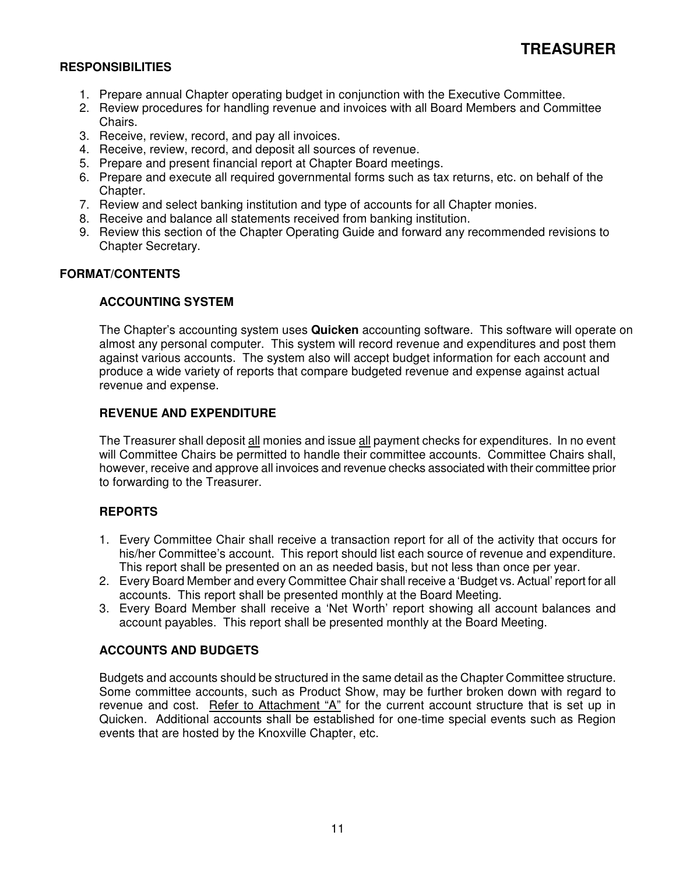- 1. Prepare annual Chapter operating budget in conjunction with the Executive Committee.
- 2. Review procedures for handling revenue and invoices with all Board Members and Committee Chairs.
- 3. Receive, review, record, and pay all invoices.
- 4. Receive, review, record, and deposit all sources of revenue.
- 5. Prepare and present financial report at Chapter Board meetings.
- 6. Prepare and execute all required governmental forms such as tax returns, etc. on behalf of the Chapter.
- 7. Review and select banking institution and type of accounts for all Chapter monies.
- 8. Receive and balance all statements received from banking institution.
- 9. Review this section of the Chapter Operating Guide and forward any recommended revisions to Chapter Secretary.

#### **FORMAT/CONTENTS**

#### **ACCOUNTING SYSTEM**

The Chapter's accounting system uses **Quicken** accounting software. This software will operate on almost any personal computer. This system will record revenue and expenditures and post them against various accounts. The system also will accept budget information for each account and produce a wide variety of reports that compare budgeted revenue and expense against actual revenue and expense.

# **REVENUE AND EXPENDITURE**

The Treasurer shall deposit all monies and issue all payment checks for expenditures. In no event will Committee Chairs be permitted to handle their committee accounts. Committee Chairs shall, however, receive and approve all invoices and revenue checks associated with their committee prior to forwarding to the Treasurer.

#### **REPORTS**

- 1. Every Committee Chair shall receive a transaction report for all of the activity that occurs for his/her Committee's account. This report should list each source of revenue and expenditure. This report shall be presented on an as needed basis, but not less than once per year.
- 2. Every Board Member and every Committee Chair shall receive a 'Budget vs. Actual' report for all accounts. This report shall be presented monthly at the Board Meeting.
- 3. Every Board Member shall receive a 'Net Worth' report showing all account balances and account payables. This report shall be presented monthly at the Board Meeting.

#### **ACCOUNTS AND BUDGETS**

Budgets and accounts should be structured in the same detail as the Chapter Committee structure. Some committee accounts, such as Product Show, may be further broken down with regard to revenue and cost. Refer to Attachment "A" for the current account structure that is set up in Quicken. Additional accounts shall be established for one-time special events such as Region events that are hosted by the Knoxville Chapter, etc.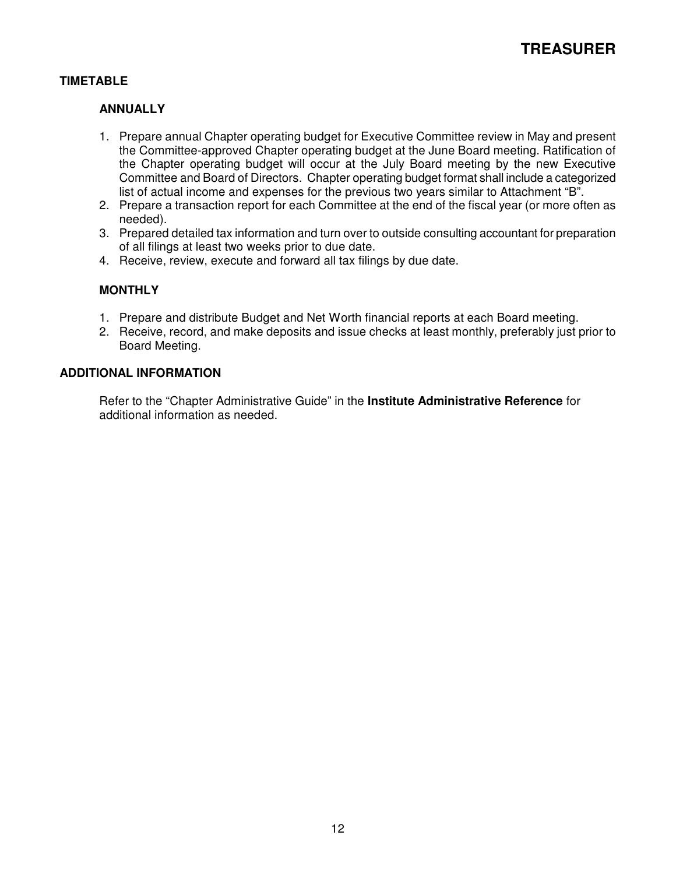# **TIMETABLE**

### **ANNUALLY**

- 1. Prepare annual Chapter operating budget for Executive Committee review in May and present the Committee-approved Chapter operating budget at the June Board meeting. Ratification of the Chapter operating budget will occur at the July Board meeting by the new Executive Committee and Board of Directors. Chapter operating budget format shall include a categorized list of actual income and expenses for the previous two years similar to Attachment "B".
- 2. Prepare a transaction report for each Committee at the end of the fiscal year (or more often as needed).
- 3. Prepared detailed tax information and turn over to outside consulting accountant for preparation of all filings at least two weeks prior to due date.
- 4. Receive, review, execute and forward all tax filings by due date.

# **MONTHLY**

- 1. Prepare and distribute Budget and Net Worth financial reports at each Board meeting.
- 2. Receive, record, and make deposits and issue checks at least monthly, preferably just prior to Board Meeting.

#### **ADDITIONAL INFORMATION**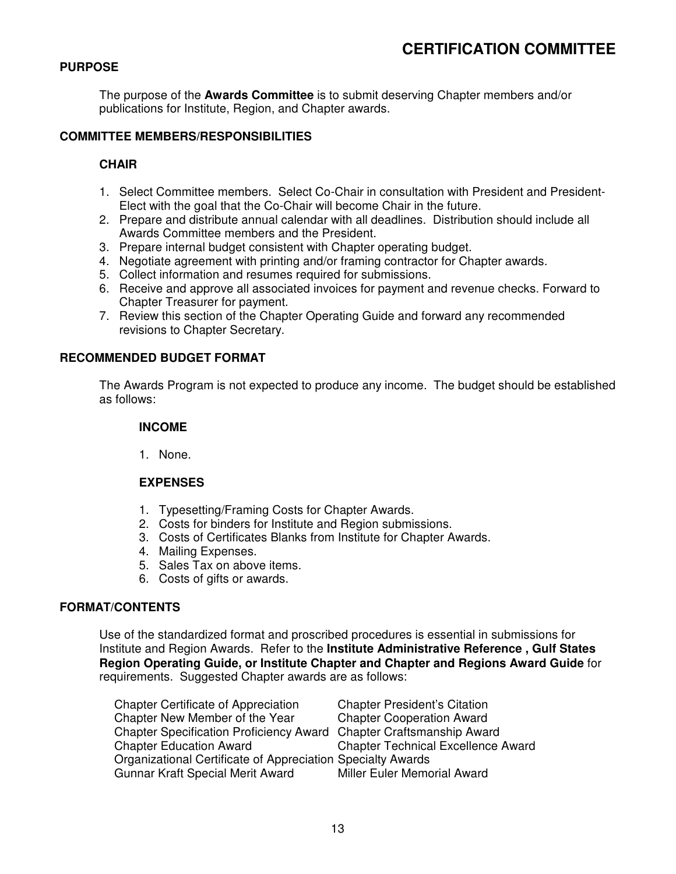# **PURPOSE**

The purpose of the **Awards Committee** is to submit deserving Chapter members and/or publications for Institute, Region, and Chapter awards.

#### **COMMITTEE MEMBERS/RESPONSIBILITIES**

#### **CHAIR**

- 1. Select Committee members. Select Co-Chair in consultation with President and President-Elect with the goal that the Co-Chair will become Chair in the future.
- 2. Prepare and distribute annual calendar with all deadlines. Distribution should include all Awards Committee members and the President.
- 3. Prepare internal budget consistent with Chapter operating budget.
- 4. Negotiate agreement with printing and/or framing contractor for Chapter awards.
- 5. Collect information and resumes required for submissions.
- 6. Receive and approve all associated invoices for payment and revenue checks. Forward to Chapter Treasurer for payment.
- 7. Review this section of the Chapter Operating Guide and forward any recommended revisions to Chapter Secretary.

#### **RECOMMENDED BUDGET FORMAT**

The Awards Program is not expected to produce any income. The budget should be established as follows:

#### **INCOME**

1. None.

#### **EXPENSES**

- 1. Typesetting/Framing Costs for Chapter Awards.
- 2. Costs for binders for Institute and Region submissions.
- 3. Costs of Certificates Blanks from Institute for Chapter Awards.
- 4. Mailing Expenses.
- 5. Sales Tax on above items.
- 6. Costs of gifts or awards.

#### **FORMAT/CONTENTS**

Use of the standardized format and proscribed procedures is essential in submissions for Institute and Region Awards. Refer to the **Institute Administrative Reference , Gulf States Region Operating Guide, or Institute Chapter and Chapter and Regions Award Guide** for requirements. Suggested Chapter awards are as follows:

| <b>Chapter Certificate of Appreciation</b>                          | <b>Chapter President's Citation</b>       |
|---------------------------------------------------------------------|-------------------------------------------|
| Chapter New Member of the Year                                      | <b>Chapter Cooperation Award</b>          |
| Chapter Specification Proficiency Award Chapter Craftsmanship Award |                                           |
| <b>Chapter Education Award</b>                                      | <b>Chapter Technical Excellence Award</b> |
| Organizational Certificate of Appreciation Specialty Awards         |                                           |
| Gunnar Kraft Special Merit Award                                    | Miller Euler Memorial Award               |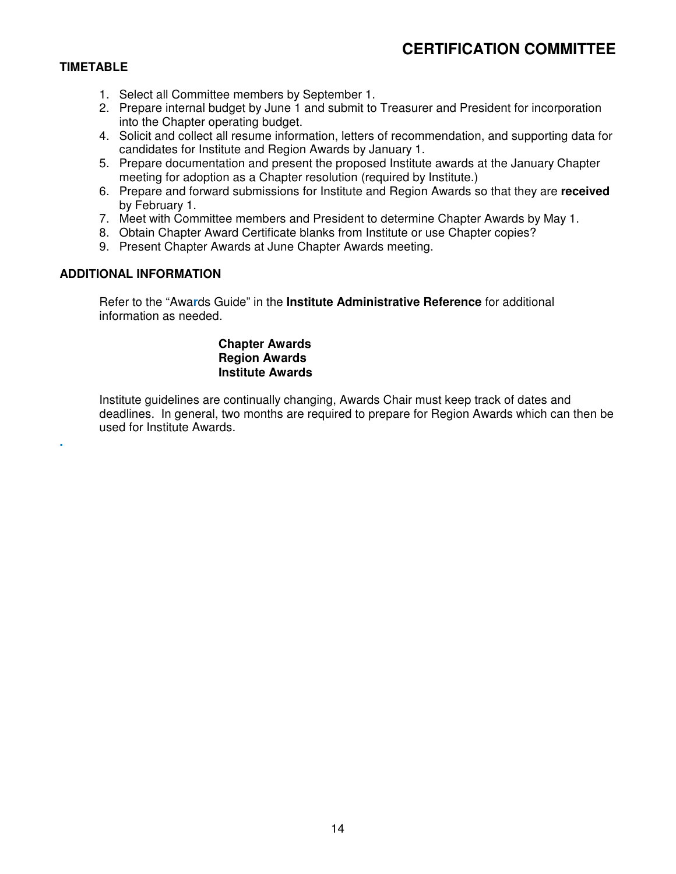# **CERTIFICATION COMMITTEE**

# **TIMETABLE**

**.** 

- 1. Select all Committee members by September 1.
- 2. Prepare internal budget by June 1 and submit to Treasurer and President for incorporation into the Chapter operating budget.
- 4. Solicit and collect all resume information, letters of recommendation, and supporting data for candidates for Institute and Region Awards by January 1.
- 5. Prepare documentation and present the proposed Institute awards at the January Chapter meeting for adoption as a Chapter resolution (required by Institute.)
- 6. Prepare and forward submissions for Institute and Region Awards so that they are **received**  by February 1.
- 7. Meet with Committee members and President to determine Chapter Awards by May 1.
- 8. Obtain Chapter Award Certificate blanks from Institute or use Chapter copies?
- 9. Present Chapter Awards at June Chapter Awards meeting.

#### **ADDITIONAL INFORMATION**

 Refer to the "Awa**r**ds Guide" in the **Institute Administrative Reference** for additional information as needed.

#### **Chapter Awards Region Awards Institute Awards**

Institute guidelines are continually changing, Awards Chair must keep track of dates and deadlines. In general, two months are required to prepare for Region Awards which can then be used for Institute Awards.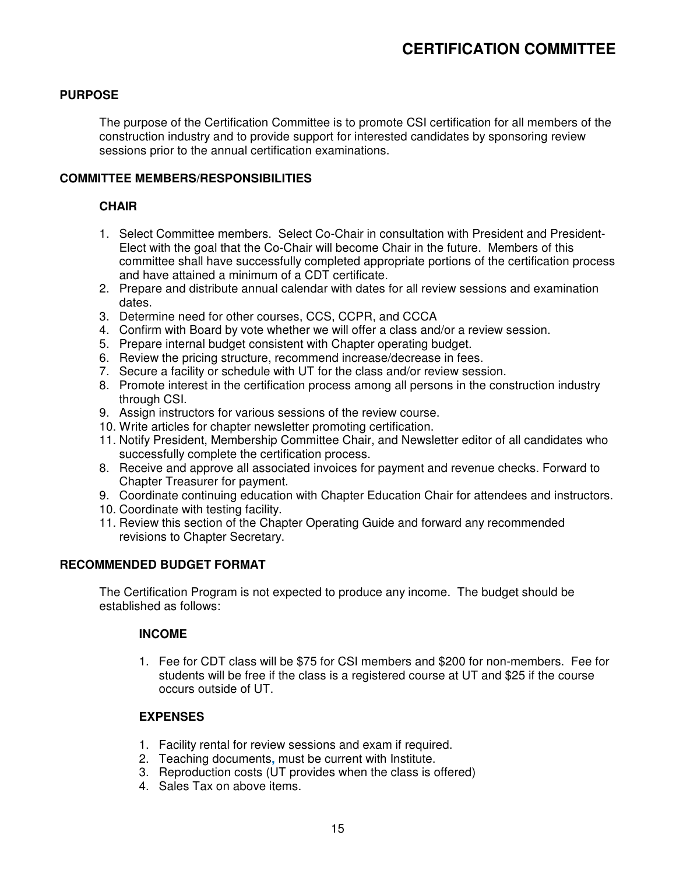# **CERTIFICATION COMMITTEE**

## **PURPOSE**

The purpose of the Certification Committee is to promote CSI certification for all members of the construction industry and to provide support for interested candidates by sponsoring review sessions prior to the annual certification examinations.

# **COMMITTEE MEMBERS/RESPONSIBILITIES**

# **CHAIR**

- 1. Select Committee members. Select Co-Chair in consultation with President and President-Elect with the goal that the Co-Chair will become Chair in the future. Members of this committee shall have successfully completed appropriate portions of the certification process and have attained a minimum of a CDT certificate.
- 2. Prepare and distribute annual calendar with dates for all review sessions and examination dates.
- 3. Determine need for other courses, CCS, CCPR, and CCCA
- 4. Confirm with Board by vote whether we will offer a class and/or a review session.
- 5. Prepare internal budget consistent with Chapter operating budget.
- 6. Review the pricing structure, recommend increase/decrease in fees.
- 7. Secure a facility or schedule with UT for the class and/or review session.
- 8. Promote interest in the certification process among all persons in the construction industry through CSI.
- 9. Assign instructors for various sessions of the review course.
- 10. Write articles for chapter newsletter promoting certification.
- 11. Notify President, Membership Committee Chair, and Newsletter editor of all candidates who successfully complete the certification process.
- 8. Receive and approve all associated invoices for payment and revenue checks. Forward to Chapter Treasurer for payment.
- 9. Coordinate continuing education with Chapter Education Chair for attendees and instructors.
- 10. Coordinate with testing facility.
- 11. Review this section of the Chapter Operating Guide and forward any recommended revisions to Chapter Secretary.

## **RECOMMENDED BUDGET FORMAT**

The Certification Program is not expected to produce any income. The budget should be established as follows:

#### **INCOME**

1. Fee for CDT class will be \$75 for CSI members and \$200 for non-members. Fee for students will be free if the class is a registered course at UT and \$25 if the course occurs outside of UT.

#### **EXPENSES**

- 1. Facility rental for review sessions and exam if required.
- 2. Teaching documents**,** must be current with Institute.
- 3. Reproduction costs (UT provides when the class is offered)
- 4. Sales Tax on above items.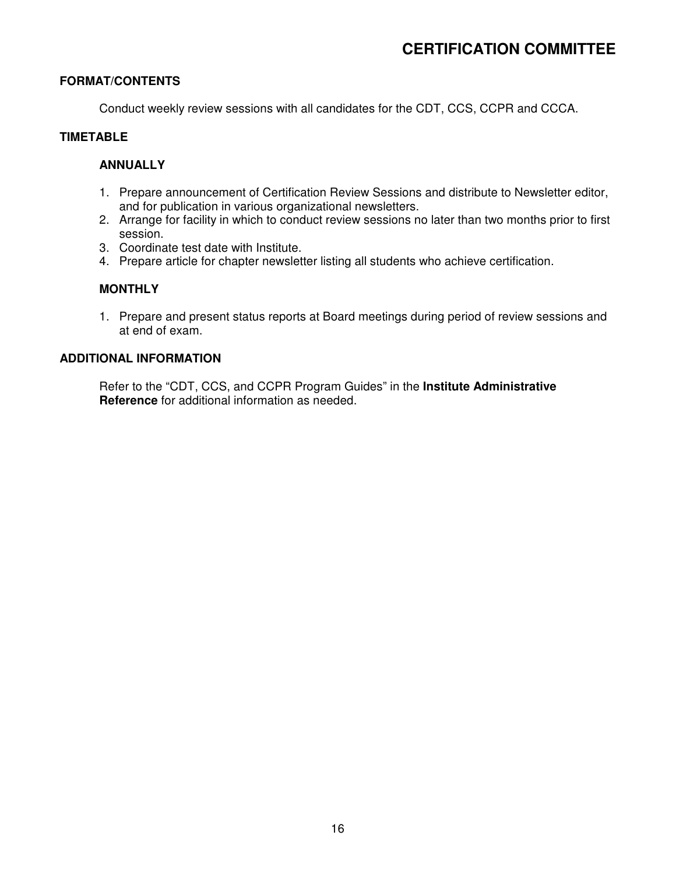### **FORMAT/CONTENTS**

Conduct weekly review sessions with all candidates for the CDT, CCS, CCPR and CCCA.

# **TIMETABLE**

#### **ANNUALLY**

- 1. Prepare announcement of Certification Review Sessions and distribute to Newsletter editor, and for publication in various organizational newsletters.
- 2. Arrange for facility in which to conduct review sessions no later than two months prior to first session.
- 3. Coordinate test date with Institute.
- 4. Prepare article for chapter newsletter listing all students who achieve certification.

#### **MONTHLY**

1. Prepare and present status reports at Board meetings during period of review sessions and at end of exam.

#### **ADDITIONAL INFORMATION**

 Refer to the "CDT, CCS, and CCPR Program Guides" in the **Institute Administrative Reference** for additional information as needed.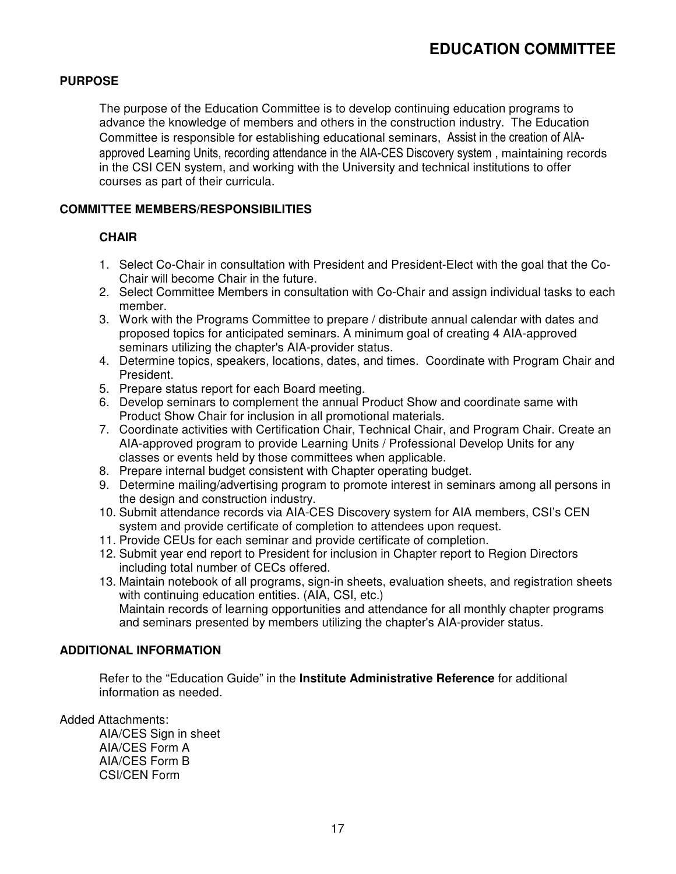# **PURPOSE**

The purpose of the Education Committee is to develop continuing education programs to advance the knowledge of members and others in the construction industry. The Education Committee is responsible for establishing educational seminars, Assist in the creation of AIAapproved Learning Units, recording attendance in the AIA-CES Discovery system , maintaining records in the CSI CEN system, and working with the University and technical institutions to offer courses as part of their curricula.

### **COMMITTEE MEMBERS/RESPONSIBILITIES**

#### **CHAIR**

- 1. Select Co-Chair in consultation with President and President-Elect with the goal that the Co-Chair will become Chair in the future.
- 2. Select Committee Members in consultation with Co-Chair and assign individual tasks to each member.
- 3. Work with the Programs Committee to prepare / distribute annual calendar with dates and proposed topics for anticipated seminars. A minimum goal of creating 4 AIA-approved seminars utilizing the chapter's AIA-provider status.
- 4. Determine topics, speakers, locations, dates, and times. Coordinate with Program Chair and President.
- 5. Prepare status report for each Board meeting.
- 6. Develop seminars to complement the annual Product Show and coordinate same with Product Show Chair for inclusion in all promotional materials.
- 7. Coordinate activities with Certification Chair, Technical Chair, and Program Chair. Create an AIA-approved program to provide Learning Units / Professional Develop Units for any classes or events held by those committees when applicable.
- 8. Prepare internal budget consistent with Chapter operating budget.
- 9. Determine mailing/advertising program to promote interest in seminars among all persons in the design and construction industry.
- 10. Submit attendance records via AIA-CES Discovery system for AIA members, CSI's CEN system and provide certificate of completion to attendees upon request.
- 11. Provide CEUs for each seminar and provide certificate of completion.
- 12. Submit year end report to President for inclusion in Chapter report to Region Directors including total number of CECs offered.
- 13. Maintain notebook of all programs, sign-in sheets, evaluation sheets, and registration sheets with continuing education entities. (AIA, CSI, etc.) Maintain records of learning opportunities and attendance for all monthly chapter programs and seminars presented by members utilizing the chapter's AIA-provider status.

# **ADDITIONAL INFORMATION**

 Refer to the "Education Guide" in the **Institute Administrative Reference** for additional information as needed.

Added Attachments:

 AIA/CES Sign in sheet AIA/CES Form A AIA/CES Form B CSI/CEN Form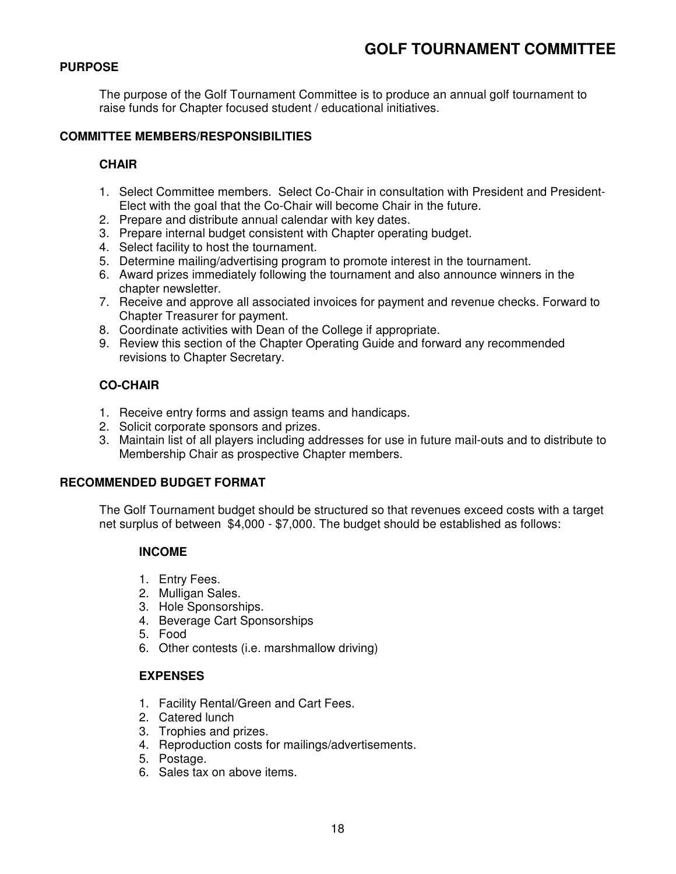# **PURPOSE**

The purpose of the Golf Tournament Committee is to produce an annual golf tournament to raise funds for Chapter focused student / educational initiatives.

# **COMMITTEE MEMBERS/RESPONSIBILITIES**

# **CHAIR**

- 1. Select Committee members. Select Co-Chair in consultation with President and President-Elect with the goal that the Co-Chair will become Chair in the future.
- 2. Prepare and distribute annual calendar with key dates.
- 3. Prepare internal budget consistent with Chapter operating budget.
- 4. Select facility to host the tournament.
- 5. Determine mailing/advertising program to promote interest in the tournament.
- 6. Award prizes immediately following the tournament and also announce winners in the chapter newsletter.
- 7. Receive and approve all associated invoices for payment and revenue checks. Forward to Chapter Treasurer for payment.
- 8. Coordinate activities with Dean of the College if appropriate.
- 9. Review this section of the Chapter Operating Guide and forward any recommended revisions to Chapter Secretary.

# **CO-CHAIR**

- 1. Receive entry forms and assign teams and handicaps.
- 2. Solicit corporate sponsors and prizes.
- 3. Maintain list of all players including addresses for use in future mail-outs and to distribute to Membership Chair as prospective Chapter members.

#### **RECOMMENDED BUDGET FORMAT**

The Golf Tournament budget should be structured so that revenues exceed costs with a target net surplus of between \$4,000 - \$7,000. The budget should be established as follows:

# **INCOME**

- 1. Entry Fees.
- 2. Mulligan Sales.
- 3. Hole Sponsorships.
- 4. Beverage Cart Sponsorships
- 5. Food
- 6. Other contests (i.e. marshmallow driving)

# **EXPENSES**

- 1. Facility Rental/Green and Cart Fees.
- 2. Catered lunch
- 3. Trophies and prizes.
- 4. Reproduction costs for mailings/advertisements.
- 5. Postage.
- 6. Sales tax on above items.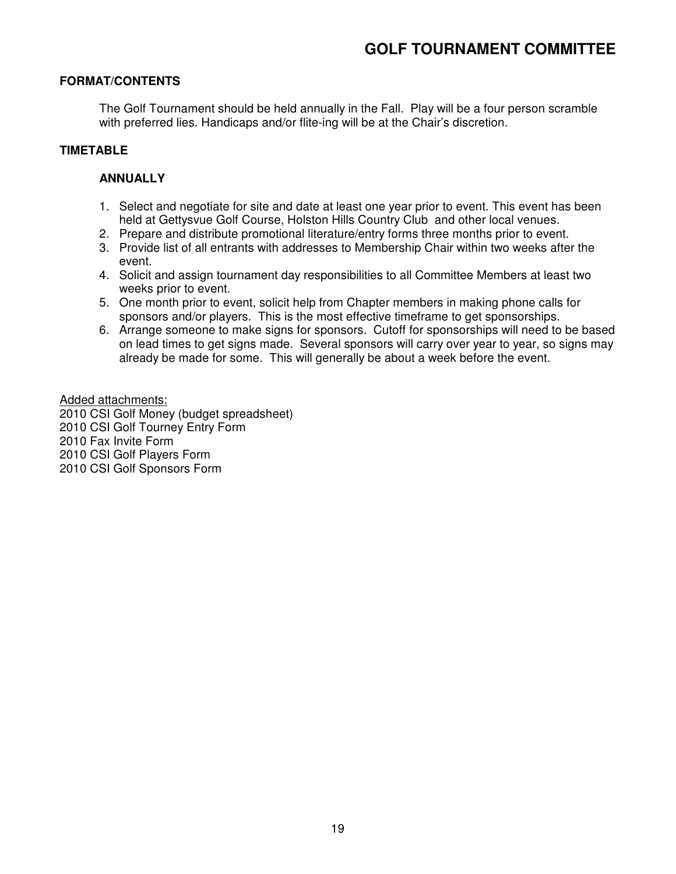### **FORMAT/CONTENTS**

The Golf Tournament should be held annually in the Fall. Play will be a four person scramble with preferred lies. Handicaps and/or flite-ing will be at the Chair's discretion.

### **TIMETABLE**

### **ANNUALLY**

- 1. Select and negotiate for site and date at least one year prior to event. This event has been held at Gettysvue Golf Course, Holston Hills Country Club and other local venues.
- 2. Prepare and distribute promotional literature/entry forms three months prior to event.
- 3. Provide list of all entrants with addresses to Membership Chair within two weeks after the event.
- 4. Solicit and assign tournament day responsibilities to all Committee Members at least two weeks prior to event.
- 5. One month prior to event, solicit help from Chapter members in making phone calls for sponsors and/or players. This is the most effective timeframe to get sponsorships.
- 6. Arrange someone to make signs for sponsors. Cutoff for sponsorships will need to be based on lead times to get signs made. Several sponsors will carry over year to year, so signs may already be made for some. This will generally be about a week before the event.

Added attachments: 2010 CSI Golf Money (budget spreadsheet) 2010 CSI Golf Tourney Entry Form 2010 Fax Invite Form 2010 CSI Golf Players Form 2010 CSI Golf Sponsors Form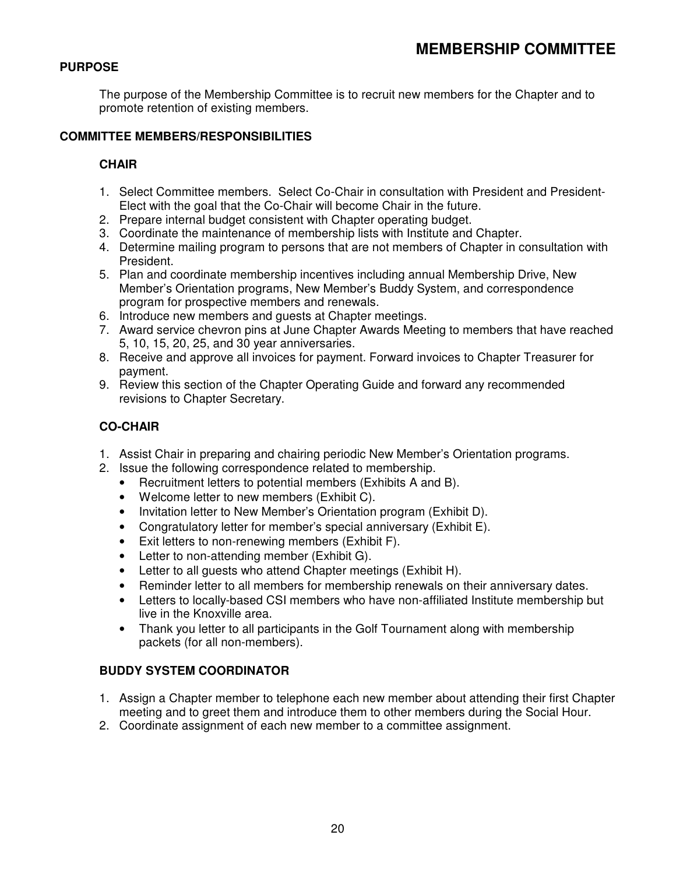# **PURPOSE**

The purpose of the Membership Committee is to recruit new members for the Chapter and to promote retention of existing members.

# **COMMITTEE MEMBERS/RESPONSIBILITIES**

# **CHAIR**

- 1. Select Committee members. Select Co-Chair in consultation with President and President-Elect with the goal that the Co-Chair will become Chair in the future.
- 2. Prepare internal budget consistent with Chapter operating budget.
- 3. Coordinate the maintenance of membership lists with Institute and Chapter.
- 4. Determine mailing program to persons that are not members of Chapter in consultation with President.
- 5. Plan and coordinate membership incentives including annual Membership Drive, New Member's Orientation programs, New Member's Buddy System, and correspondence program for prospective members and renewals.
- 6. Introduce new members and guests at Chapter meetings.
- 7. Award service chevron pins at June Chapter Awards Meeting to members that have reached 5, 10, 15, 20, 25, and 30 year anniversaries.
- 8. Receive and approve all invoices for payment. Forward invoices to Chapter Treasurer for payment.
- 9. Review this section of the Chapter Operating Guide and forward any recommended revisions to Chapter Secretary.

# **CO-CHAIR**

- 1. Assist Chair in preparing and chairing periodic New Member's Orientation programs.
- 2. Issue the following correspondence related to membership.
	- Recruitment letters to potential members (Exhibits A and B).
	- Welcome letter to new members (Exhibit C).
	- Invitation letter to New Member's Orientation program (Exhibit D).
	- Congratulatory letter for member's special anniversary (Exhibit E).
	- Exit letters to non-renewing members (Exhibit F).
	- Letter to non-attending member (Exhibit G).
	- Letter to all guests who attend Chapter meetings (Exhibit H).
	- Reminder letter to all members for membership renewals on their anniversary dates.
	- Letters to locally-based CSI members who have non-affiliated Institute membership but live in the Knoxville area.
	- Thank you letter to all participants in the Golf Tournament along with membership packets (for all non-members).

# **BUDDY SYSTEM COORDINATOR**

- 1. Assign a Chapter member to telephone each new member about attending their first Chapter meeting and to greet them and introduce them to other members during the Social Hour.
- 2. Coordinate assignment of each new member to a committee assignment.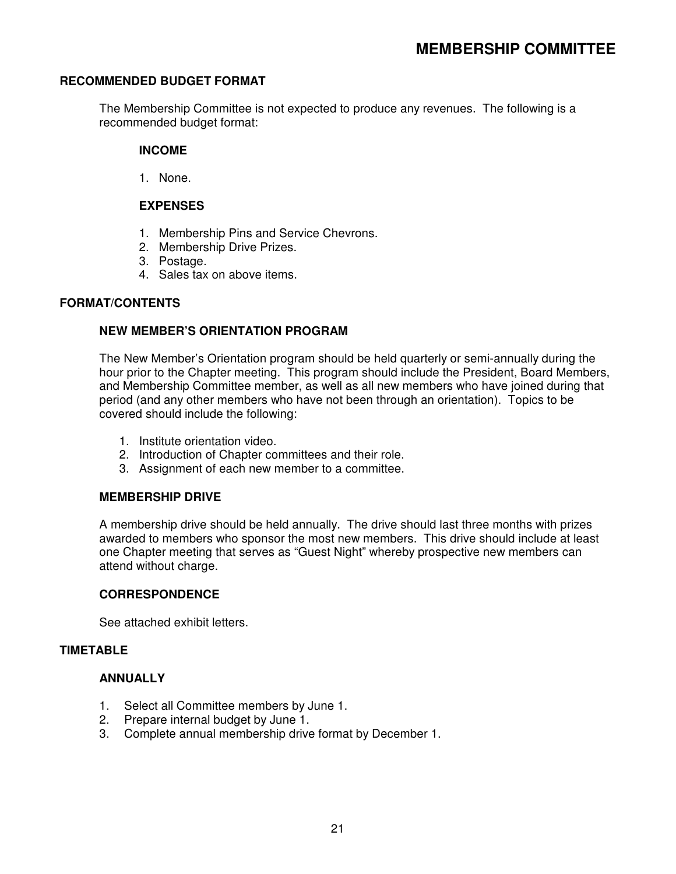#### **RECOMMENDED BUDGET FORMAT**

The Membership Committee is not expected to produce any revenues. The following is a recommended budget format:

#### **INCOME**

1. None.

#### **EXPENSES**

- 1. Membership Pins and Service Chevrons.
- 2. Membership Drive Prizes.
- 3. Postage.
- 4. Sales tax on above items.

#### **FORMAT/CONTENTS**

#### **NEW MEMBER'S ORIENTATION PROGRAM**

The New Member's Orientation program should be held quarterly or semi-annually during the hour prior to the Chapter meeting. This program should include the President, Board Members, and Membership Committee member, as well as all new members who have joined during that period (and any other members who have not been through an orientation). Topics to be covered should include the following:

- 1. Institute orientation video.
- 2. Introduction of Chapter committees and their role.
- 3. Assignment of each new member to a committee.

#### **MEMBERSHIP DRIVE**

A membership drive should be held annually. The drive should last three months with prizes awarded to members who sponsor the most new members. This drive should include at least one Chapter meeting that serves as "Guest Night" whereby prospective new members can attend without charge.

#### **CORRESPONDENCE**

See attached exhibit letters.

#### **TIMETABLE**

#### **ANNUALLY**

- 1. Select all Committee members by June 1.
- 2. Prepare internal budget by June 1.
- 3. Complete annual membership drive format by December 1.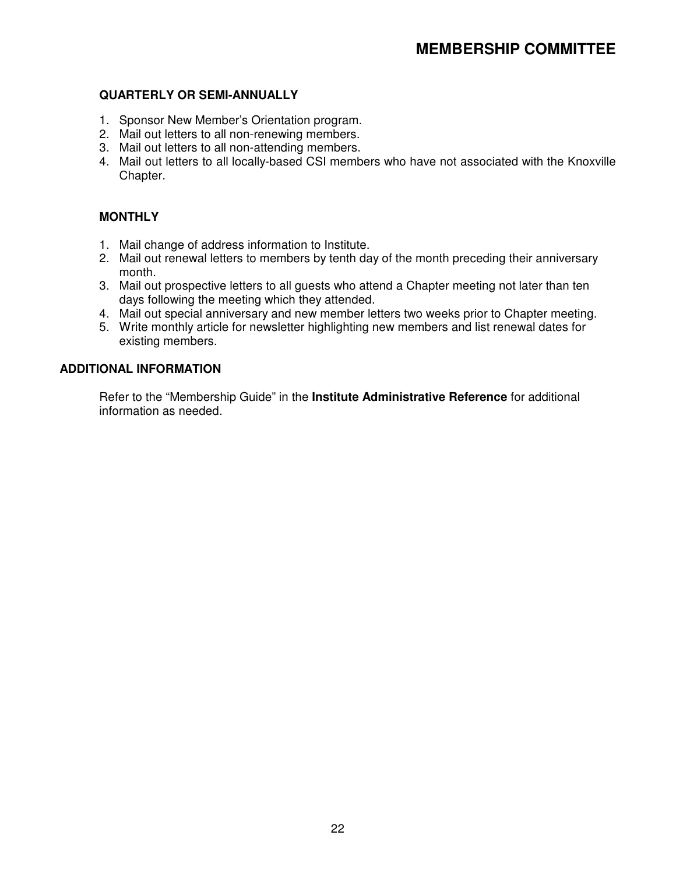#### **QUARTERLY OR SEMI-ANNUALLY**

- 1. Sponsor New Member's Orientation program.
- 2. Mail out letters to all non-renewing members.
- 3. Mail out letters to all non-attending members.
- 4. Mail out letters to all locally-based CSI members who have not associated with the Knoxville Chapter.

## **MONTHLY**

- 1. Mail change of address information to Institute.
- 2. Mail out renewal letters to members by tenth day of the month preceding their anniversary month.
- 3. Mail out prospective letters to all guests who attend a Chapter meeting not later than ten days following the meeting which they attended.
- 4. Mail out special anniversary and new member letters two weeks prior to Chapter meeting.
- 5. Write monthly article for newsletter highlighting new members and list renewal dates for existing members.

#### **ADDITIONAL INFORMATION**

 Refer to the "Membership Guide" in the **Institute Administrative Reference** for additional information as needed.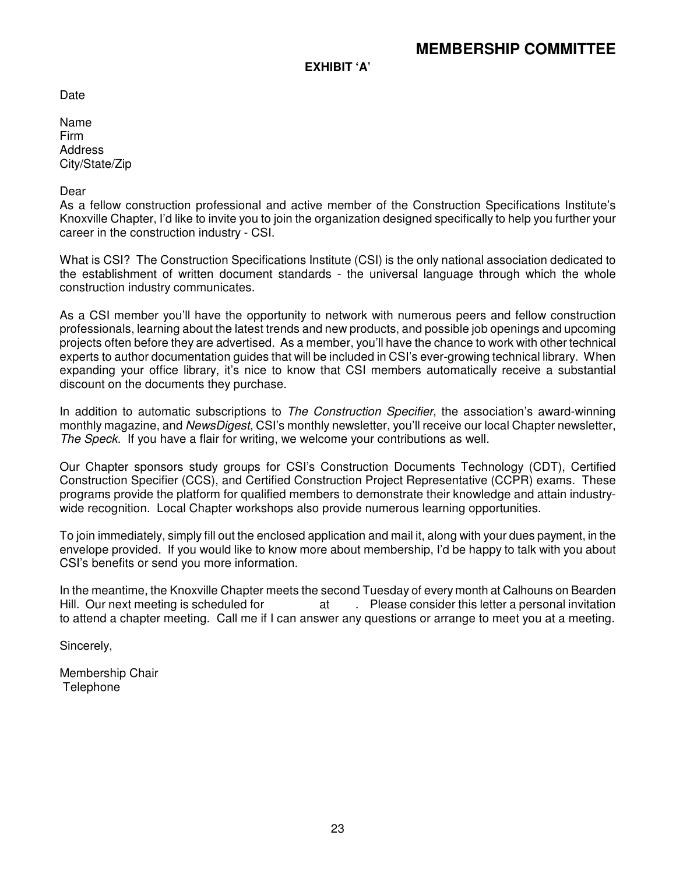**EXHIBIT 'A'** 

Date

Name Firm Address City/State/Zip

#### Dear

As a fellow construction professional and active member of the Construction Specifications Institute's Knoxville Chapter, I'd like to invite you to join the organization designed specifically to help you further your career in the construction industry - CSI.

What is CSI? The Construction Specifications Institute (CSI) is the only national association dedicated to the establishment of written document standards - the universal language through which the whole construction industry communicates.

As a CSI member you'll have the opportunity to network with numerous peers and fellow construction professionals, learning about the latest trends and new products, and possible job openings and upcoming projects often before they are advertised. As a member, you'll have the chance to work with other technical experts to author documentation guides that will be included in CSI's ever-growing technical library. When expanding your office library, it's nice to know that CSI members automatically receive a substantial discount on the documents they purchase.

In addition to automatic subscriptions to The Construction Specifier, the association's award-winning monthly magazine, and NewsDigest, CSI's monthly newsletter, you'll receive our local Chapter newsletter, The Speck. If you have a flair for writing, we welcome your contributions as well.

Our Chapter sponsors study groups for CSI's Construction Documents Technology (CDT), Certified Construction Specifier (CCS), and Certified Construction Project Representative (CCPR) exams. These programs provide the platform for qualified members to demonstrate their knowledge and attain industrywide recognition. Local Chapter workshops also provide numerous learning opportunities.

To join immediately, simply fill out the enclosed application and mail it, along with your dues payment, in the envelope provided. If you would like to know more about membership, I'd be happy to talk with you about CSI's benefits or send you more information.

In the meantime, the Knoxville Chapter meets the second Tuesday of every month at Calhouns on Bearden Hill. Our next meeting is scheduled for and the same of Please consider this letter a personal invitation to attend a chapter meeting. Call me if I can answer any questions or arrange to meet you at a meeting.

Sincerely,

Membership Chair **Telephone**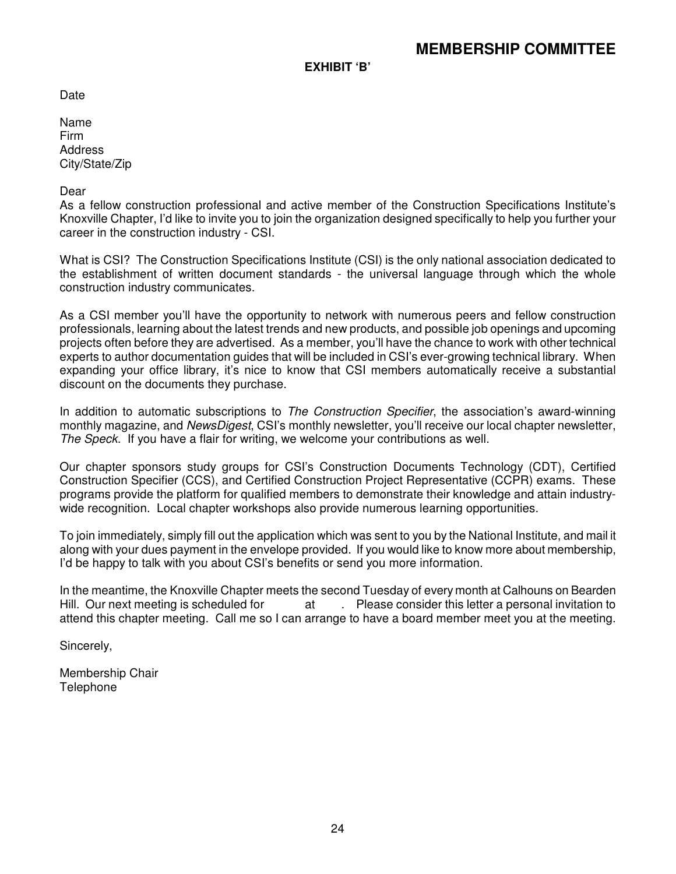**EXHIBIT 'B'** 

Date

Name Firm Address City/State/Zip

#### Dear

As a fellow construction professional and active member of the Construction Specifications Institute's Knoxville Chapter, I'd like to invite you to join the organization designed specifically to help you further your career in the construction industry - CSI.

What is CSI? The Construction Specifications Institute (CSI) is the only national association dedicated to the establishment of written document standards - the universal language through which the whole construction industry communicates.

As a CSI member you'll have the opportunity to network with numerous peers and fellow construction professionals, learning about the latest trends and new products, and possible job openings and upcoming projects often before they are advertised. As a member, you'll have the chance to work with other technical experts to author documentation guides that will be included in CSI's ever-growing technical library. When expanding your office library, it's nice to know that CSI members automatically receive a substantial discount on the documents they purchase.

In addition to automatic subscriptions to The Construction Specifier, the association's award-winning monthly magazine, and NewsDigest, CSI's monthly newsletter, you'll receive our local chapter newsletter, The Speck. If you have a flair for writing, we welcome your contributions as well.

Our chapter sponsors study groups for CSI's Construction Documents Technology (CDT), Certified Construction Specifier (CCS), and Certified Construction Project Representative (CCPR) exams. These programs provide the platform for qualified members to demonstrate their knowledge and attain industrywide recognition. Local chapter workshops also provide numerous learning opportunities.

To join immediately, simply fill out the application which was sent to you by the National Institute, and mail it along with your dues payment in the envelope provided. If you would like to know more about membership, I'd be happy to talk with you about CSI's benefits or send you more information.

In the meantime, the Knoxville Chapter meets the second Tuesday of every month at Calhouns on Bearden Hill. Our next meeting is scheduled for at . Please consider this letter a personal invitation to attend this chapter meeting. Call me so I can arrange to have a board member meet you at the meeting.

Sincerely,

Membership Chair Telephone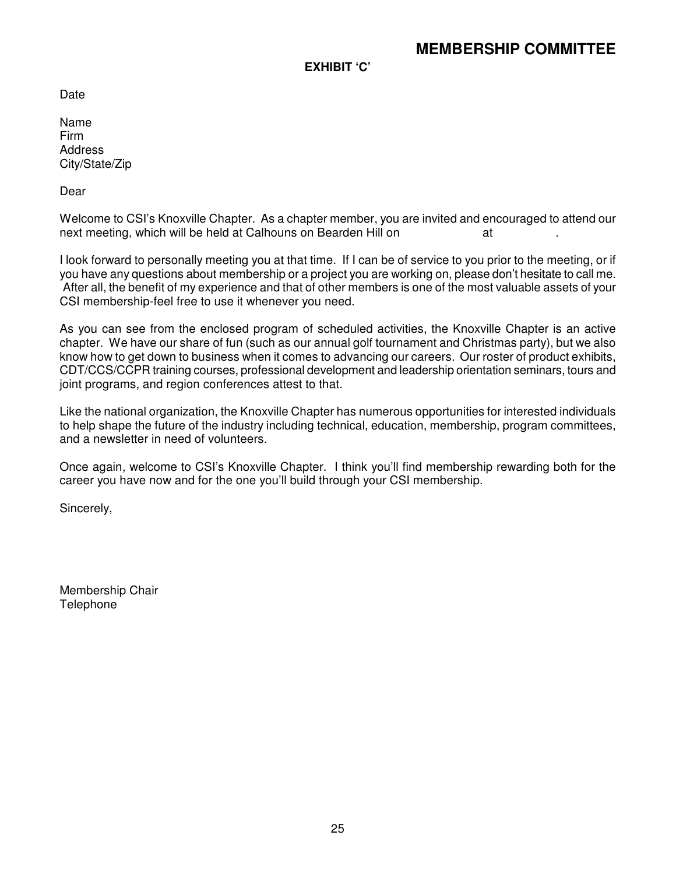**EXHIBIT 'C'** 

**Date** 

Name Firm **Address** City/State/Zip

Dear

Welcome to CSI's Knoxville Chapter. As a chapter member, you are invited and encouraged to attend our next meeting, which will be held at Calhouns on Bearden Hill on at ... ... at

I look forward to personally meeting you at that time. If I can be of service to you prior to the meeting, or if you have any questions about membership or a project you are working on, please don't hesitate to call me. After all, the benefit of my experience and that of other members is one of the most valuable assets of your CSI membership-feel free to use it whenever you need.

As you can see from the enclosed program of scheduled activities, the Knoxville Chapter is an active chapter. We have our share of fun (such as our annual golf tournament and Christmas party), but we also know how to get down to business when it comes to advancing our careers. Our roster of product exhibits, CDT/CCS/CCPR training courses, professional development and leadership orientation seminars, tours and joint programs, and region conferences attest to that.

Like the national organization, the Knoxville Chapter has numerous opportunities for interested individuals to help shape the future of the industry including technical, education, membership, program committees, and a newsletter in need of volunteers.

Once again, welcome to CSI's Knoxville Chapter. I think you'll find membership rewarding both for the career you have now and for the one you'll build through your CSI membership.

Sincerely,

Membership Chair **Telephone**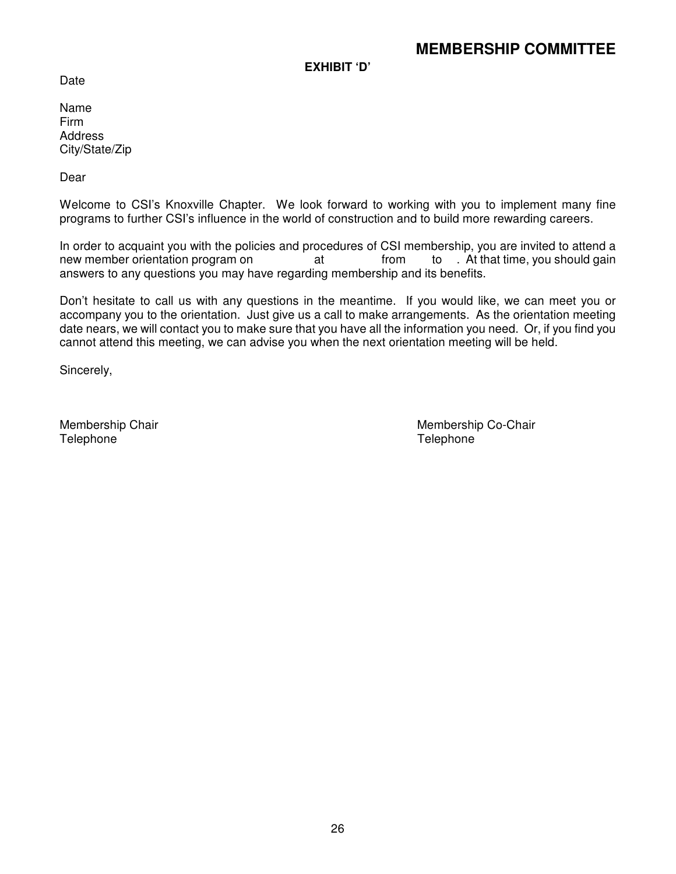**EXHIBIT 'D'**

Date

Name Firm **Address** City/State/Zip

Dear

Welcome to CSI's Knoxville Chapter. We look forward to working with you to implement many fine programs to further CSI's influence in the world of construction and to build more rewarding careers.

In order to acquaint you with the policies and procedures of CSI membership, you are invited to attend a new member orientation program on at from to . At that time, you should gain answers to any questions you may have regarding membership and its benefits.

Don't hesitate to call us with any questions in the meantime. If you would like, we can meet you or accompany you to the orientation. Just give us a call to make arrangements. As the orientation meeting date nears, we will contact you to make sure that you have all the information you need. Or, if you find you cannot attend this meeting, we can advise you when the next orientation meeting will be held.

Sincerely,

Telephone Telephone

Membership Chair National Accords and Membership Co-Chair Membership Co-Chair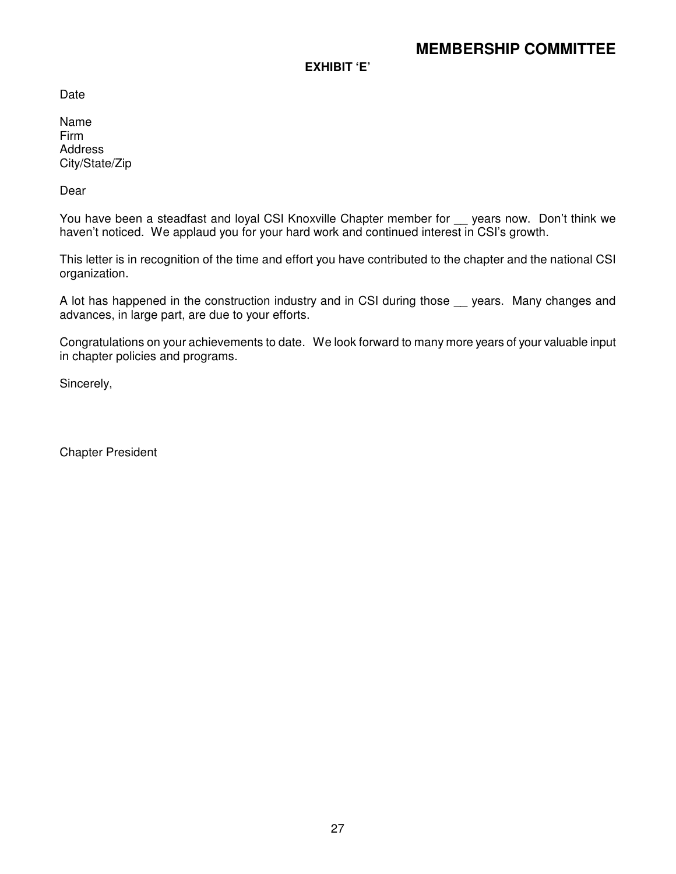**EXHIBIT 'E'**

Date

Name Firm **Address** City/State/Zip

Dear

You have been a steadfast and loyal CSI Knoxville Chapter member for \_\_ years now. Don't think we haven't noticed. We applaud you for your hard work and continued interest in CSI's growth.

This letter is in recognition of the time and effort you have contributed to the chapter and the national CSI organization.

A lot has happened in the construction industry and in CSI during those sears. Many changes and advances, in large part, are due to your efforts.

Congratulations on your achievements to date. We look forward to many more years of your valuable input in chapter policies and programs.

Sincerely,

Chapter President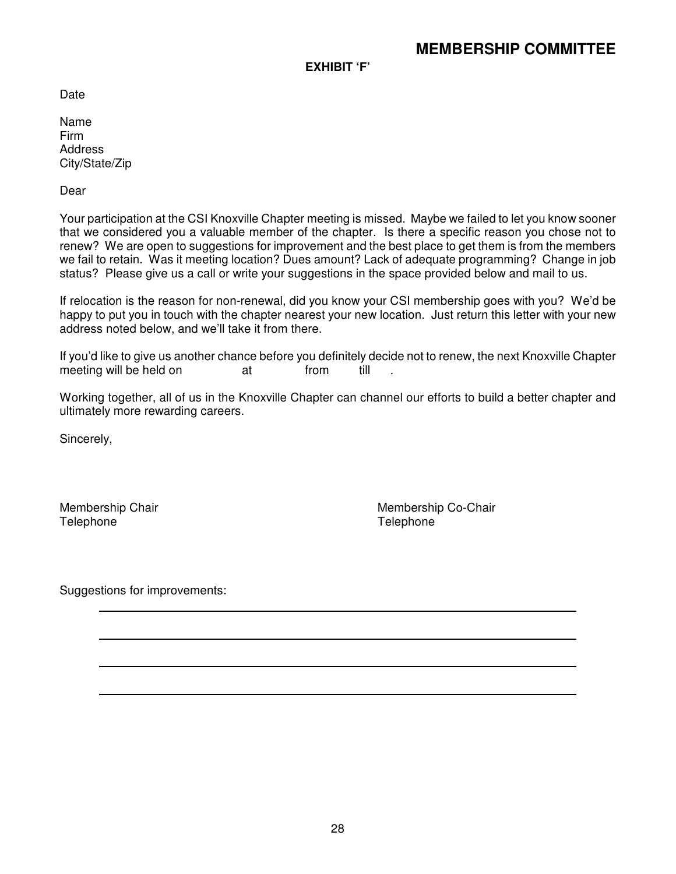**EXHIBIT 'F'**

**Date** 

Name Firm **Address** City/State/Zip

Dear

Your participation at the CSI Knoxville Chapter meeting is missed. Maybe we failed to let you know sooner that we considered you a valuable member of the chapter. Is there a specific reason you chose not to renew? We are open to suggestions for improvement and the best place to get them is from the members we fail to retain. Was it meeting location? Dues amount? Lack of adequate programming? Change in job status? Please give us a call or write your suggestions in the space provided below and mail to us.

If relocation is the reason for non-renewal, did you know your CSI membership goes with you? We'd be happy to put you in touch with the chapter nearest your new location. Just return this letter with your new address noted below, and we'll take it from there.

If you'd like to give us another chance before you definitely decide not to renew, the next Knoxville Chapter meeting will be held on at from till .

Working together, all of us in the Knoxville Chapter can channel our efforts to build a better chapter and ultimately more rewarding careers.

Sincerely,

Telephone Telephone

Membership Chair **Membership Co-Chair** Membership Co-Chair

Suggestions for improvements: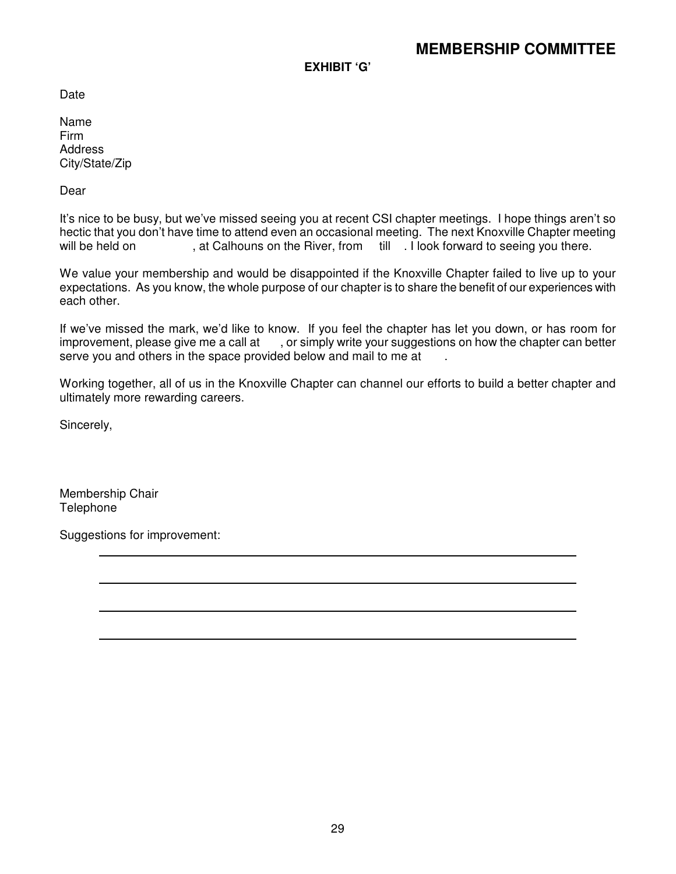**EXHIBIT 'G'**

Date

Name Firm Address City/State/Zip

Dear

It's nice to be busy, but we've missed seeing you at recent CSI chapter meetings. I hope things aren't so hectic that you don't have time to attend even an occasional meeting. The next Knoxville Chapter meeting will be held on , at Calhouns on the River, from till . I look forward to seeing you there.

We value your membership and would be disappointed if the Knoxville Chapter failed to live up to your expectations. As you know, the whole purpose of our chapter is to share the benefit of our experiences with each other.

If we've missed the mark, we'd like to know. If you feel the chapter has let you down, or has room for improvement, please give me a call at , or simply write your suggestions on how the chapter can better serve you and others in the space provided below and mail to me at

Working together, all of us in the Knoxville Chapter can channel our efforts to build a better chapter and ultimately more rewarding careers.

Sincerely,

Membership Chair Telephone

Suggestions for improvement: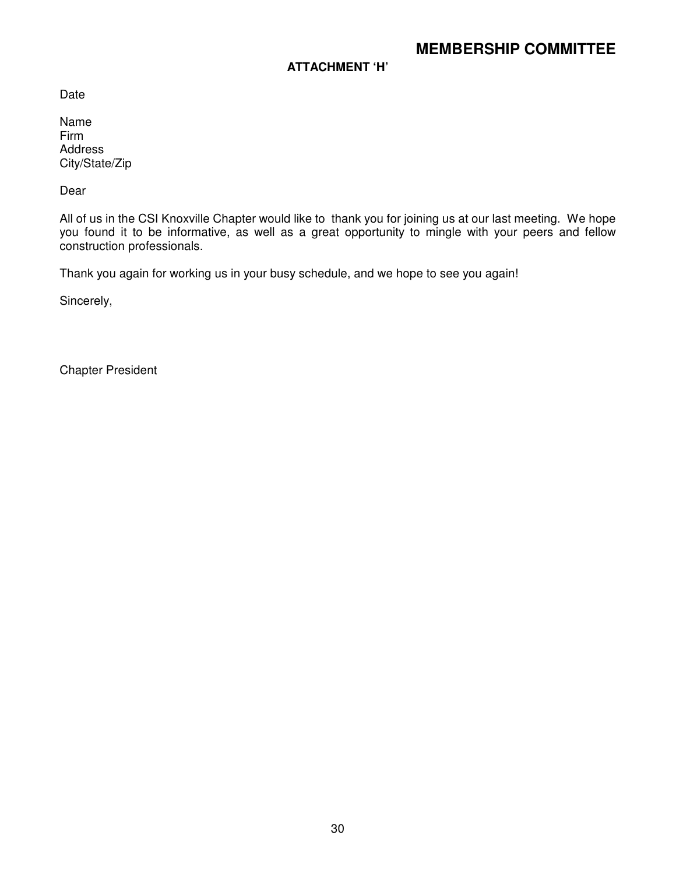# **ATTACHMENT 'H'**

Date

Name Firm Address City/State/Zip

Dear

All of us in the CSI Knoxville Chapter would like to thank you for joining us at our last meeting. We hope you found it to be informative, as well as a great opportunity to mingle with your peers and fellow construction professionals.

Thank you again for working us in your busy schedule, and we hope to see you again!

Sincerely,

Chapter President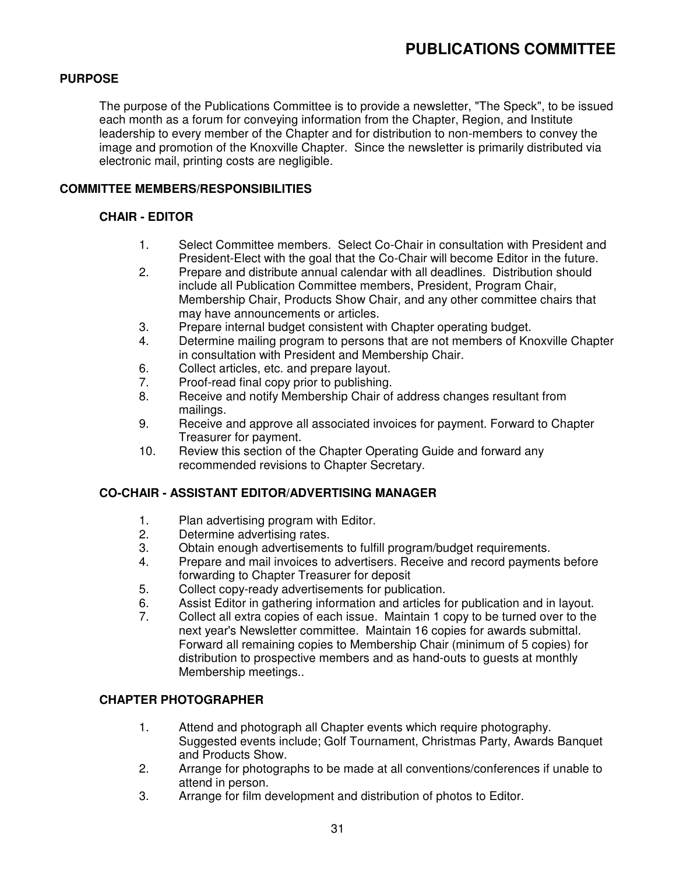# **PURPOSE**

The purpose of the Publications Committee is to provide a newsletter, "The Speck", to be issued each month as a forum for conveying information from the Chapter, Region, and Institute leadership to every member of the Chapter and for distribution to non-members to convey the image and promotion of the Knoxville Chapter. Since the newsletter is primarily distributed via electronic mail, printing costs are negligible.

# **COMMITTEE MEMBERS/RESPONSIBILITIES**

### **CHAIR - EDITOR**

- 1. Select Committee members. Select Co-Chair in consultation with President and President-Elect with the goal that the Co-Chair will become Editor in the future.
- 2. Prepare and distribute annual calendar with all deadlines. Distribution should include all Publication Committee members, President, Program Chair, Membership Chair, Products Show Chair, and any other committee chairs that may have announcements or articles.
- 3. Prepare internal budget consistent with Chapter operating budget.
- 4. Determine mailing program to persons that are not members of Knoxville Chapter in consultation with President and Membership Chair.
- 6. Collect articles, etc. and prepare layout.
- 7. Proof-read final copy prior to publishing.
- 8. Receive and notify Membership Chair of address changes resultant from mailings.
- 9. Receive and approve all associated invoices for payment. Forward to Chapter Treasurer for payment.
- 10. Review this section of the Chapter Operating Guide and forward any recommended revisions to Chapter Secretary.

#### **CO-CHAIR - ASSISTANT EDITOR/ADVERTISING MANAGER**

- 1. Plan advertising program with Editor.
- 2. Determine advertising rates.
- 3. Obtain enough advertisements to fulfill program/budget requirements.
- 4. Prepare and mail invoices to advertisers. Receive and record payments before forwarding to Chapter Treasurer for deposit
- 5. Collect copy-ready advertisements for publication.
- 6. Assist Editor in gathering information and articles for publication and in layout.
- 7. Collect all extra copies of each issue. Maintain 1 copy to be turned over to the next year's Newsletter committee. Maintain 16 copies for awards submittal. Forward all remaining copies to Membership Chair (minimum of 5 copies) for distribution to prospective members and as hand-outs to guests at monthly Membership meetings..

# **CHAPTER PHOTOGRAPHER**

- 1. Attend and photograph all Chapter events which require photography. Suggested events include; Golf Tournament, Christmas Party, Awards Banquet and Products Show.
- 2. Arrange for photographs to be made at all conventions/conferences if unable to attend in person.
- 3. Arrange for film development and distribution of photos to Editor.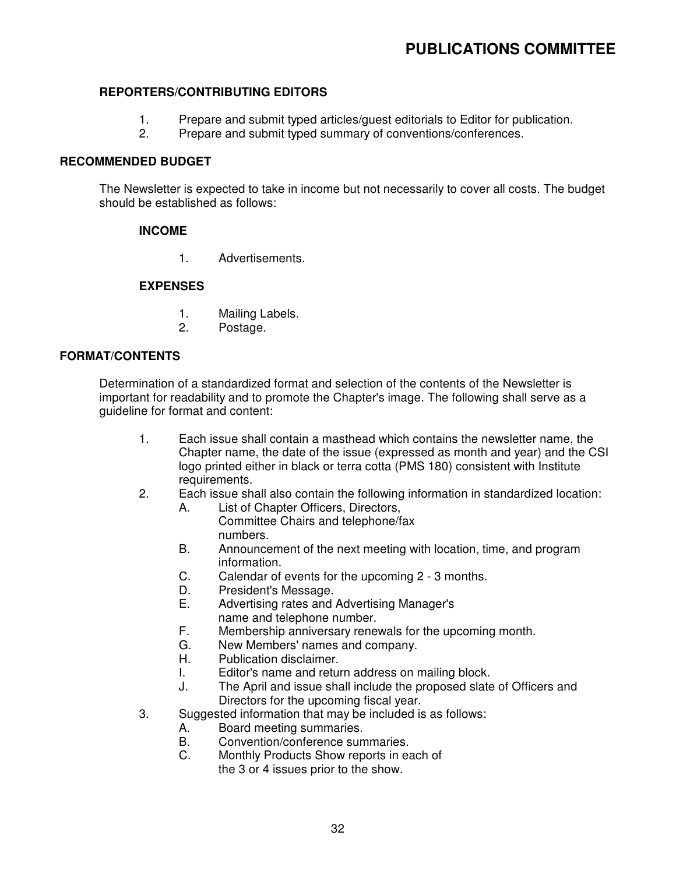# **PUBLICATIONS COMMITTEE**

#### **REPORTERS/CONTRIBUTING EDITORS**

- 1. Prepare and submit typed articles/guest editorials to Editor for publication.<br>2. Prepare and submit typed summary of conventions/conferences.
- Prepare and submit typed summary of conventions/conferences.

#### **RECOMMENDED BUDGET**

The Newsletter is expected to take in income but not necessarily to cover all costs. The budget should be established as follows:

#### **INCOME**

1. Advertisements.

#### **EXPENSES**

- 1. Mailing Labels.
- 2. Postage.

#### **FORMAT/CONTENTS**

Determination of a standardized format and selection of the contents of the Newsletter is important for readability and to promote the Chapter's image. The following shall serve as a guideline for format and content:

- 1. Each issue shall contain a masthead which contains the newsletter name, the Chapter name, the date of the issue (expressed as month and year) and the CSI logo printed either in black or terra cotta (PMS 180) consistent with Institute requirements.
- 2. Each issue shall also contain the following information in standardized location:
	- A. List of Chapter Officers, Directors, Committee Chairs and telephone/fax numbers.
	- B. Announcement of the next meeting with location, time, and program information.
	- C. Calendar of events for the upcoming 2 3 months.
	- D. President's Message.
	- E. Advertising rates and Advertising Manager's
	- name and telephone number.
	- F. Membership anniversary renewals for the upcoming month.
	- G. New Members' names and company.
	- H. Publication disclaimer.
	- I. Editor's name and return address on mailing block.
	- J. The April and issue shall include the proposed slate of Officers and Directors for the upcoming fiscal year.
- 3. Suggested information that may be included is as follows:
	- A. Board meeting summaries.
	- B. Convention/conference summaries.
	- C. Monthly Products Show reports in each of the 3 or 4 issues prior to the show.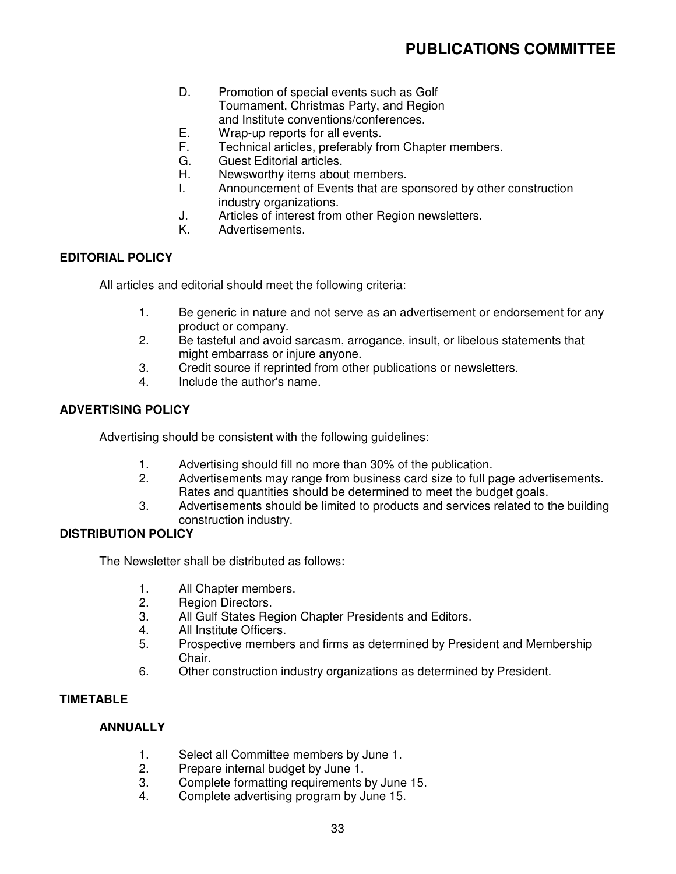- D. Promotion of special events such as Golf Tournament, Christmas Party, and Region and Institute conventions/conferences.
- E. Wrap-up reports for all events.
- F. Technical articles, preferably from Chapter members.
- G. Guest Editorial articles.
- H. Newsworthy items about members.
- I. Announcement of Events that are sponsored by other construction industry organizations.
- J. Articles of interest from other Region newsletters.
- K. Advertisements.

#### **EDITORIAL POLICY**

All articles and editorial should meet the following criteria:

- 1. Be generic in nature and not serve as an advertisement or endorsement for any product or company.
- 2. Be tasteful and avoid sarcasm, arrogance, insult, or libelous statements that might embarrass or injure anyone.
- 3. Credit source if reprinted from other publications or newsletters.
- 4. Include the author's name.

# **ADVERTISING POLICY**

Advertising should be consistent with the following guidelines:

- 1. Advertising should fill no more than 30% of the publication.
- 2. Advertisements may range from business card size to full page advertisements. Rates and quantities should be determined to meet the budget goals.
- 3. Advertisements should be limited to products and services related to the building construction industry.

#### **DISTRIBUTION POLICY**

The Newsletter shall be distributed as follows:

- 1. All Chapter members.
- 2. Region Directors.
- 3. All Gulf States Region Chapter Presidents and Editors.
- 4. All Institute Officers.
- 5. Prospective members and firms as determined by President and Membership Chair.
- 6. Other construction industry organizations as determined by President.

# **TIMETABLE**

#### **ANNUALLY**

- 1. Select all Committee members by June 1.
- 2. Prepare internal budget by June 1.
- 3. Complete formatting requirements by June 15.
- 4. Complete advertising program by June 15.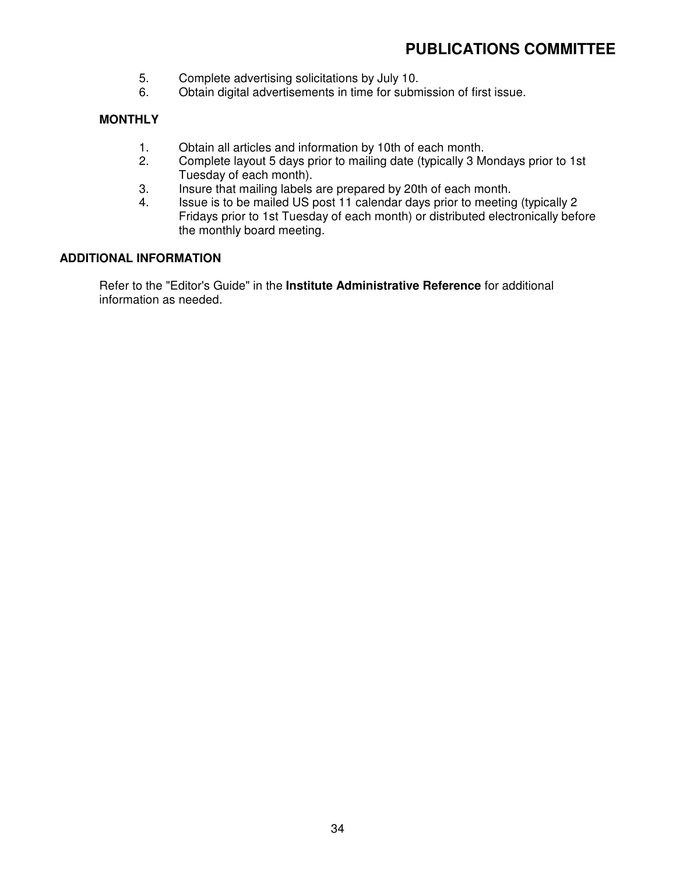- 5. Complete advertising solicitations by July 10.<br>6. Obtain digital advertisements in time for subm
- 6. Obtain digital advertisements in time for submission of first issue.

# **MONTHLY**

- 1. Obtain all articles and information by 10th of each month.
- 2. Complete layout 5 days prior to mailing date (typically 3 Mondays prior to 1st Tuesday of each month).
- 3. Insure that mailing labels are prepared by 20th of each month.<br>4. Issue is to be mailed US post 11 calendar days prior to meeting
- 4. Issue is to be mailed US post 11 calendar days prior to meeting (typically 2 Fridays prior to 1st Tuesday of each month) or distributed electronically before the monthly board meeting.

#### **ADDITIONAL INFORMATION**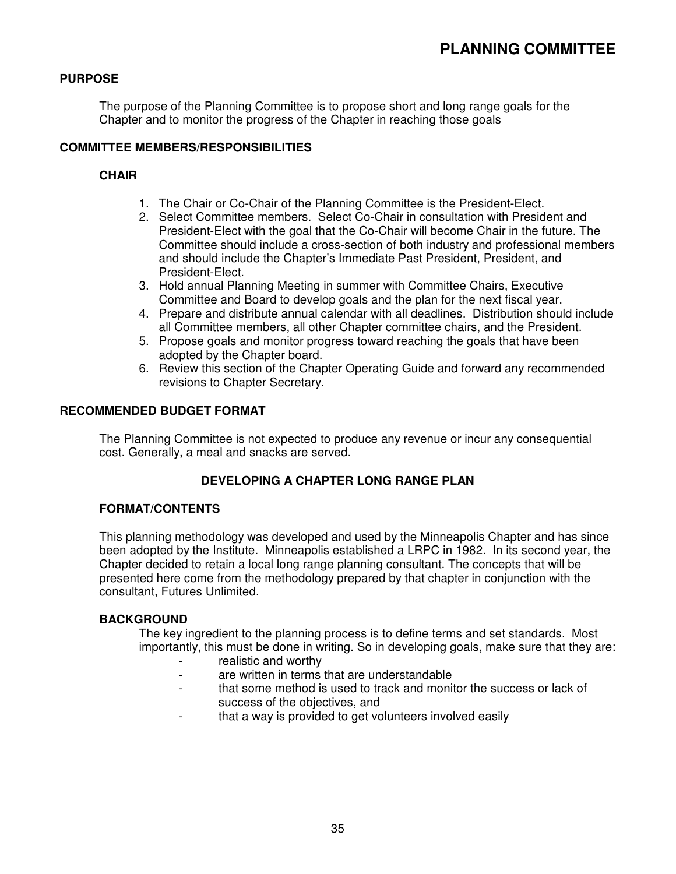# **PURPOSE**

The purpose of the Planning Committee is to propose short and long range goals for the Chapter and to monitor the progress of the Chapter in reaching those goals

### **COMMITTEE MEMBERS/RESPONSIBILITIES**

# **CHAIR**

- 1. The Chair or Co-Chair of the Planning Committee is the President-Elect.
- 2. Select Committee members. Select Co-Chair in consultation with President and President-Elect with the goal that the Co-Chair will become Chair in the future. The Committee should include a cross-section of both industry and professional members and should include the Chapter's Immediate Past President, President, and President-Elect.
- 3. Hold annual Planning Meeting in summer with Committee Chairs, Executive Committee and Board to develop goals and the plan for the next fiscal year.
- 4. Prepare and distribute annual calendar with all deadlines. Distribution should include all Committee members, all other Chapter committee chairs, and the President.
- 5. Propose goals and monitor progress toward reaching the goals that have been adopted by the Chapter board.
- 6. Review this section of the Chapter Operating Guide and forward any recommended revisions to Chapter Secretary.

#### **RECOMMENDED BUDGET FORMAT**

The Planning Committee is not expected to produce any revenue or incur any consequential cost. Generally, a meal and snacks are served.

# **DEVELOPING A CHAPTER LONG RANGE PLAN**

#### **FORMAT/CONTENTS**

This planning methodology was developed and used by the Minneapolis Chapter and has since been adopted by the Institute. Minneapolis established a LRPC in 1982. In its second year, the Chapter decided to retain a local long range planning consultant. The concepts that will be presented here come from the methodology prepared by that chapter in conjunction with the consultant, Futures Unlimited.

#### **BACKGROUND**

The key ingredient to the planning process is to define terms and set standards. Most importantly, this must be done in writing. So in developing goals, make sure that they are:

- realistic and worthy
- are written in terms that are understandable
- that some method is used to track and monitor the success or lack of success of the objectives, and
- that a way is provided to get volunteers involved easily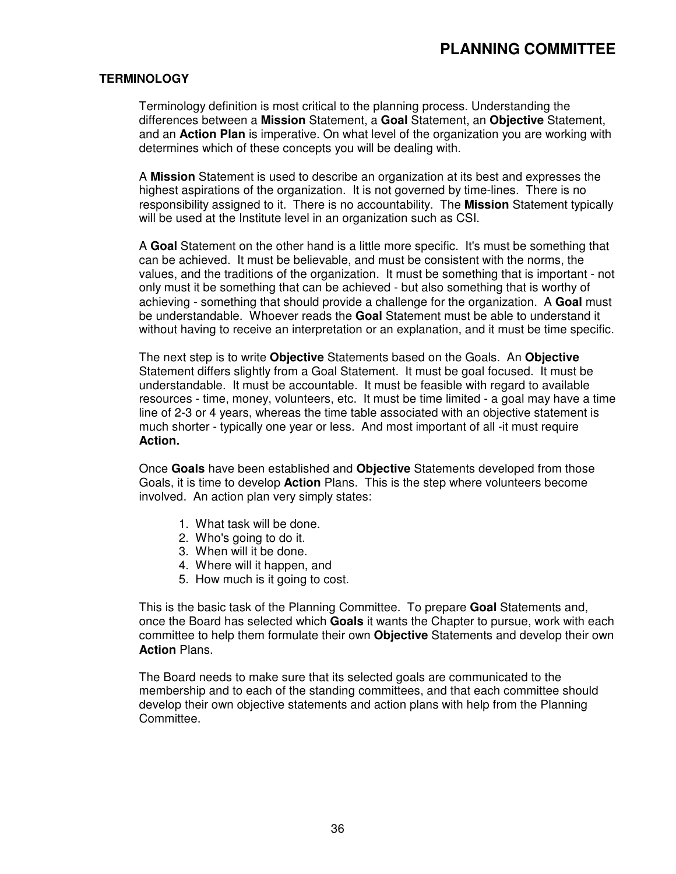## **TERMINOLOGY**

Terminology definition is most critical to the planning process. Understanding the differences between a **Mission** Statement, a **Goal** Statement, an **Objective** Statement, and an **Action Plan** is imperative. On what level of the organization you are working with determines which of these concepts you will be dealing with.

A **Mission** Statement is used to describe an organization at its best and expresses the highest aspirations of the organization. It is not governed by time-lines. There is no responsibility assigned to it. There is no accountability. The **Mission** Statement typically will be used at the Institute level in an organization such as CSI.

A **Goal** Statement on the other hand is a little more specific. It's must be something that can be achieved. It must be believable, and must be consistent with the norms, the values, and the traditions of the organization. It must be something that is important - not only must it be something that can be achieved - but also something that is worthy of achieving - something that should provide a challenge for the organization. A **Goal** must be understandable. Whoever reads the **Goal** Statement must be able to understand it without having to receive an interpretation or an explanation, and it must be time specific.

The next step is to write **Objective** Statements based on the Goals. An **Objective** Statement differs slightly from a Goal Statement. It must be goal focused. It must be understandable. It must be accountable. It must be feasible with regard to available resources - time, money, volunteers, etc. It must be time limited - a goal may have a time line of 2-3 or 4 years, whereas the time table associated with an objective statement is much shorter - typically one year or less. And most important of all -it must require **Action.**

Once **Goals** have been established and **Objective** Statements developed from those Goals, it is time to develop **Action** Plans. This is the step where volunteers become involved. An action plan very simply states:

- 1. What task will be done.
- 2. Who's going to do it.
- 3. When will it be done.
- 4. Where will it happen, and
- 5. How much is it going to cost.

This is the basic task of the Planning Committee. To prepare **Goal** Statements and, once the Board has selected which **Goals** it wants the Chapter to pursue, work with each committee to help them formulate their own **Objective** Statements and develop their own **Action** Plans.

The Board needs to make sure that its selected goals are communicated to the membership and to each of the standing committees, and that each committee should develop their own objective statements and action plans with help from the Planning Committee.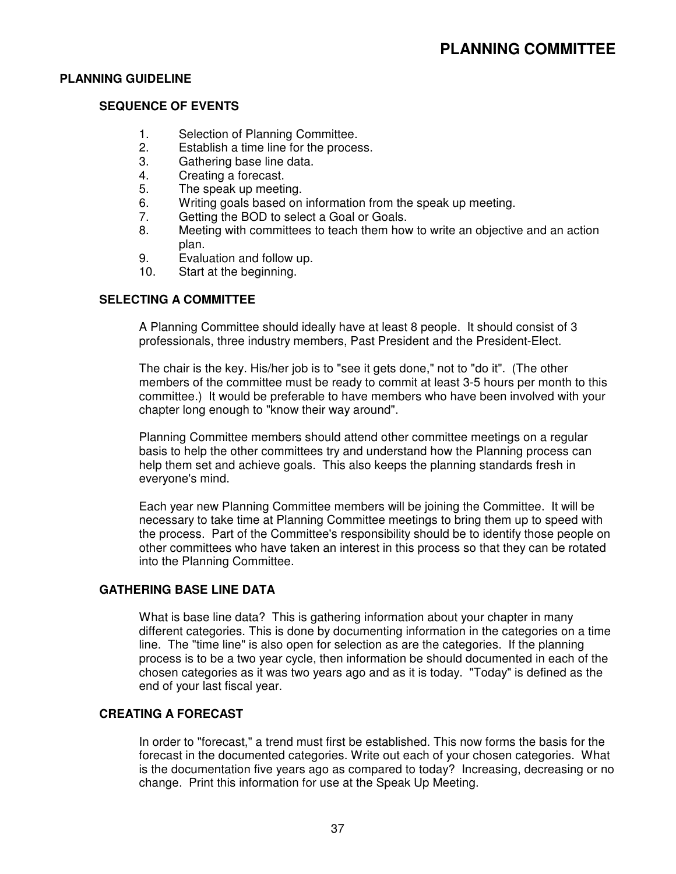#### **PLANNING GUIDELINE**

#### **SEQUENCE OF EVENTS**

- 1. Selection of Planning Committee.
- 2. Establish a time line for the process.
- 3. Gathering base line data.
- 4. Creating a forecast.
- 5. The speak up meeting.
- 6. Writing goals based on information from the speak up meeting.
- 7. Getting the BOD to select a Goal or Goals.
- 8. Meeting with committees to teach them how to write an objective and an action plan.
- 9. Evaluation and follow up.
- 10. Start at the beginning.

#### **SELECTING A COMMITTEE**

A Planning Committee should ideally have at least 8 people. It should consist of 3 professionals, three industry members, Past President and the President-Elect.

The chair is the key. His/her job is to "see it gets done," not to "do it". (The other members of the committee must be ready to commit at least 3-5 hours per month to this committee.) It would be preferable to have members who have been involved with your chapter long enough to "know their way around".

Planning Committee members should attend other committee meetings on a regular basis to help the other committees try and understand how the Planning process can help them set and achieve goals. This also keeps the planning standards fresh in everyone's mind.

Each year new Planning Committee members will be joining the Committee. It will be necessary to take time at Planning Committee meetings to bring them up to speed with the process. Part of the Committee's responsibility should be to identify those people on other committees who have taken an interest in this process so that they can be rotated into the Planning Committee.

#### **GATHERING BASE LINE DATA**

What is base line data? This is gathering information about your chapter in many different categories. This is done by documenting information in the categories on a time line. The "time line" is also open for selection as are the categories. If the planning process is to be a two year cycle, then information be should documented in each of the chosen categories as it was two years ago and as it is today. "Today" is defined as the end of your last fiscal year.

#### **CREATING A FORECAST**

In order to "forecast," a trend must first be established. This now forms the basis for the forecast in the documented categories. Write out each of your chosen categories. What is the documentation five years ago as compared to today? Increasing, decreasing or no change. Print this information for use at the Speak Up Meeting.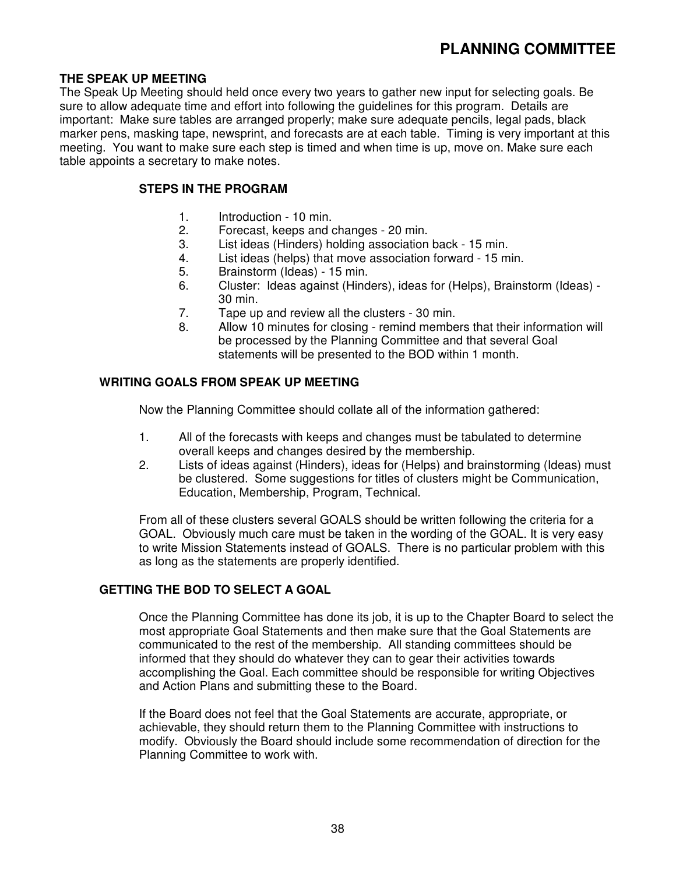### **THE SPEAK UP MEETING**

The Speak Up Meeting should held once every two years to gather new input for selecting goals. Be sure to allow adequate time and effort into following the guidelines for this program. Details are important: Make sure tables are arranged properly; make sure adequate pencils, legal pads, black marker pens, masking tape, newsprint, and forecasts are at each table. Timing is very important at this meeting. You want to make sure each step is timed and when time is up, move on. Make sure each table appoints a secretary to make notes.

#### **STEPS IN THE PROGRAM**

- 1. Introduction 10 min.
- 2. Forecast, keeps and changes 20 min.
- 3. List ideas (Hinders) holding association back 15 min.
- 4. List ideas (helps) that move association forward 15 min.
- 5. Brainstorm (Ideas) 15 min.
- 6. Cluster: Ideas against (Hinders), ideas for (Helps), Brainstorm (Ideas) 30 min.
- 7. Tape up and review all the clusters 30 min.
- 8. Allow 10 minutes for closing remind members that their information will be processed by the Planning Committee and that several Goal statements will be presented to the BOD within 1 month.

#### **WRITING GOALS FROM SPEAK UP MEETING**

Now the Planning Committee should collate all of the information gathered:

- 1. All of the forecasts with keeps and changes must be tabulated to determine overall keeps and changes desired by the membership.
- 2. Lists of ideas against (Hinders), ideas for (Helps) and brainstorming (Ideas) must be clustered. Some suggestions for titles of clusters might be Communication, Education, Membership, Program, Technical.

From all of these clusters several GOALS should be written following the criteria for a GOAL. Obviously much care must be taken in the wording of the GOAL. It is very easy to write Mission Statements instead of GOALS. There is no particular problem with this as long as the statements are properly identified.

#### **GETTING THE BOD TO SELECT A GOAL**

Once the Planning Committee has done its job, it is up to the Chapter Board to select the most appropriate Goal Statements and then make sure that the Goal Statements are communicated to the rest of the membership. All standing committees should be informed that they should do whatever they can to gear their activities towards accomplishing the Goal. Each committee should be responsible for writing Objectives and Action Plans and submitting these to the Board.

If the Board does not feel that the Goal Statements are accurate, appropriate, or achievable, they should return them to the Planning Committee with instructions to modify. Obviously the Board should include some recommendation of direction for the Planning Committee to work with.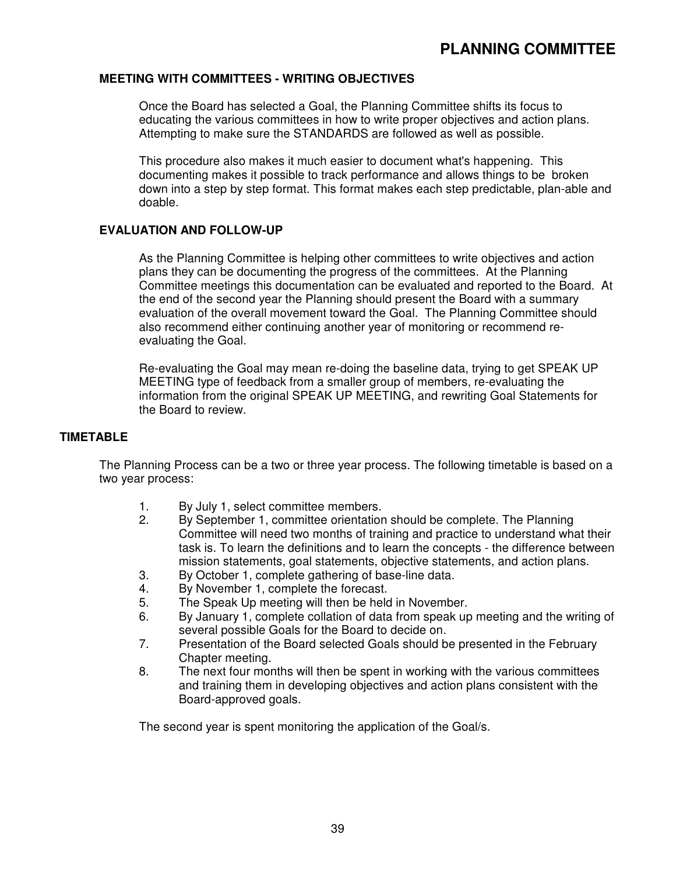#### **MEETING WITH COMMITTEES - WRITING OBJECTIVES**

Once the Board has selected a Goal, the Planning Committee shifts its focus to educating the various committees in how to write proper objectives and action plans. Attempting to make sure the STANDARDS are followed as well as possible.

This procedure also makes it much easier to document what's happening. This documenting makes it possible to track performance and allows things to be broken down into a step by step format. This format makes each step predictable, plan-able and doable.

#### **EVALUATION AND FOLLOW-UP**

As the Planning Committee is helping other committees to write objectives and action plans they can be documenting the progress of the committees. At the Planning Committee meetings this documentation can be evaluated and reported to the Board. At the end of the second year the Planning should present the Board with a summary evaluation of the overall movement toward the Goal. The Planning Committee should also recommend either continuing another year of monitoring or recommend reevaluating the Goal.

Re-evaluating the Goal may mean re-doing the baseline data, trying to get SPEAK UP MEETING type of feedback from a smaller group of members, re-evaluating the information from the original SPEAK UP MEETING, and rewriting Goal Statements for the Board to review.

#### **TIMETABLE**

The Planning Process can be a two or three year process. The following timetable is based on a two year process:

- 1. By July 1, select committee members.
- 2. By September 1, committee orientation should be complete. The Planning Committee will need two months of training and practice to understand what their task is. To learn the definitions and to learn the concepts - the difference between mission statements, goal statements, objective statements, and action plans.
- 3. By October 1, complete gathering of base-line data.
- 4. By November 1, complete the forecast.
- 5. The Speak Up meeting will then be held in November.
- 6. By January 1, complete collation of data from speak up meeting and the writing of several possible Goals for the Board to decide on.
- 7. Presentation of the Board selected Goals should be presented in the February Chapter meeting.
- 8. The next four months will then be spent in working with the various committees and training them in developing objectives and action plans consistent with the Board-approved goals.

The second year is spent monitoring the application of the Goal/s.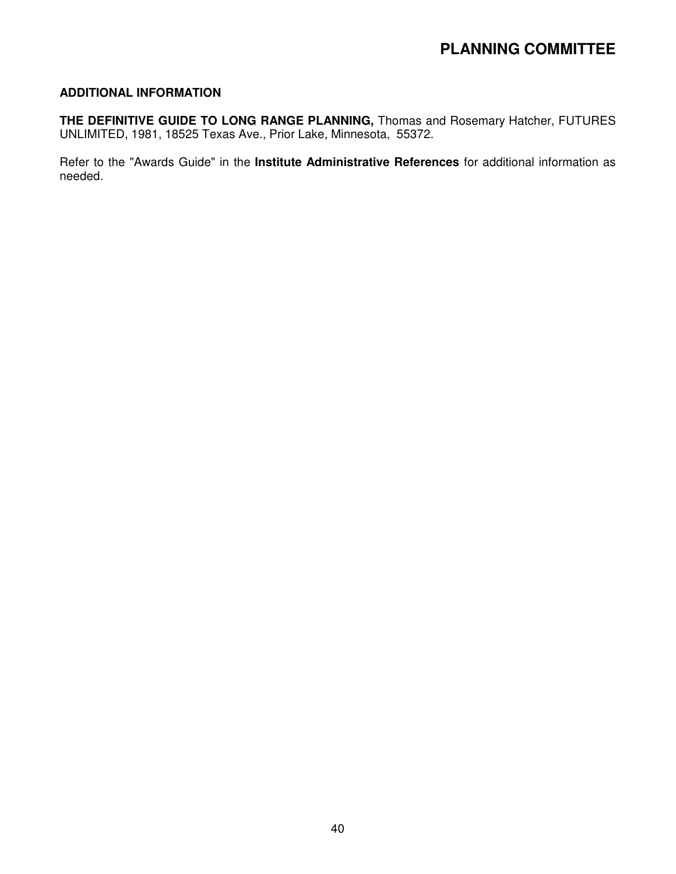# **PLANNING COMMITTEE**

#### **ADDITIONAL INFORMATION**

**THE DEFINITIVE GUIDE TO LONG RANGE PLANNING,** Thomas and Rosemary Hatcher, FUTURES UNLIMITED, 1981, 18525 Texas Ave., Prior Lake, Minnesota, 55372.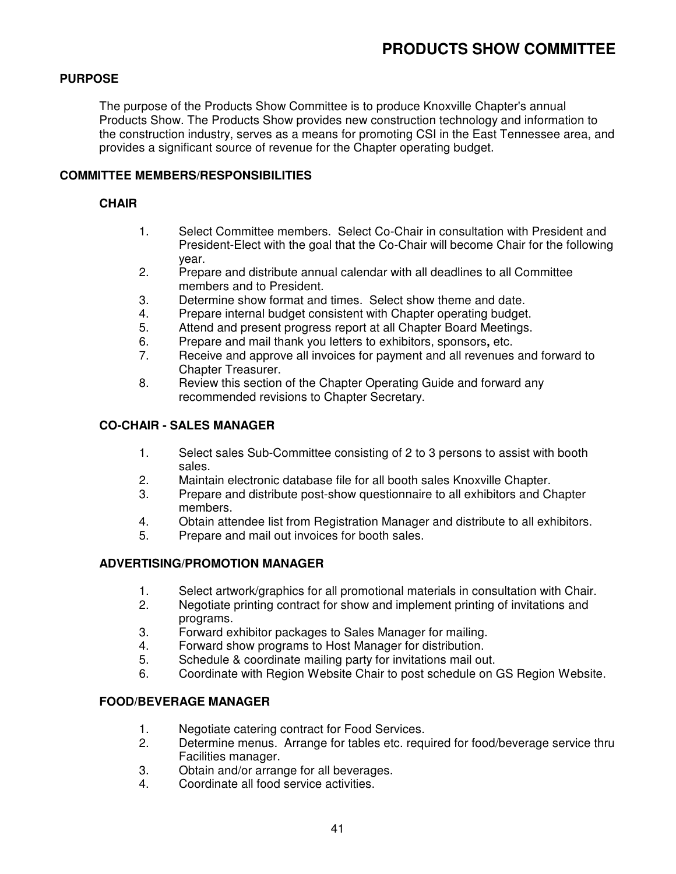# **PURPOSE**

The purpose of the Products Show Committee is to produce Knoxville Chapter's annual Products Show. The Products Show provides new construction technology and information to the construction industry, serves as a means for promoting CSI in the East Tennessee area, and provides a significant source of revenue for the Chapter operating budget.

#### **COMMITTEE MEMBERS/RESPONSIBILITIES**

#### **CHAIR**

- 1. Select Committee members. Select Co-Chair in consultation with President and President-Elect with the goal that the Co-Chair will become Chair for the following year.
- 2. Prepare and distribute annual calendar with all deadlines to all Committee members and to President.
- 3. Determine show format and times. Select show theme and date.
- 4. Prepare internal budget consistent with Chapter operating budget.
- 5. Attend and present progress report at all Chapter Board Meetings.
- 6. Prepare and mail thank you letters to exhibitors, sponsors**,** etc.
- 7. Receive and approve all invoices for payment and all revenues and forward to Chapter Treasurer.
- 8. Review this section of the Chapter Operating Guide and forward any recommended revisions to Chapter Secretary.

#### **CO-CHAIR - SALES MANAGER**

- 1. Select sales Sub-Committee consisting of 2 to 3 persons to assist with booth sales.
- 2. Maintain electronic database file for all booth sales Knoxville Chapter.
- 3. Prepare and distribute post-show questionnaire to all exhibitors and Chapter members.
- 4. Obtain attendee list from Registration Manager and distribute to all exhibitors.<br>5. Prepare and mail out invoices for booth sales.
- Prepare and mail out invoices for booth sales.

#### **ADVERTISING/PROMOTION MANAGER**

- 1. Select artwork/graphics for all promotional materials in consultation with Chair.
- 2. Negotiate printing contract for show and implement printing of invitations and programs.
- 3. Forward exhibitor packages to Sales Manager for mailing.
- 4. Forward show programs to Host Manager for distribution.
- 5. Schedule & coordinate mailing party for invitations mail out.
- 6. Coordinate with Region Website Chair to post schedule on GS Region Website.

# **FOOD/BEVERAGE MANAGER**

- 1. Negotiate catering contract for Food Services.
- 2. Determine menus. Arrange for tables etc. required for food/beverage service thru Facilities manager.
- 3. Obtain and/or arrange for all beverages.
- 4. Coordinate all food service activities.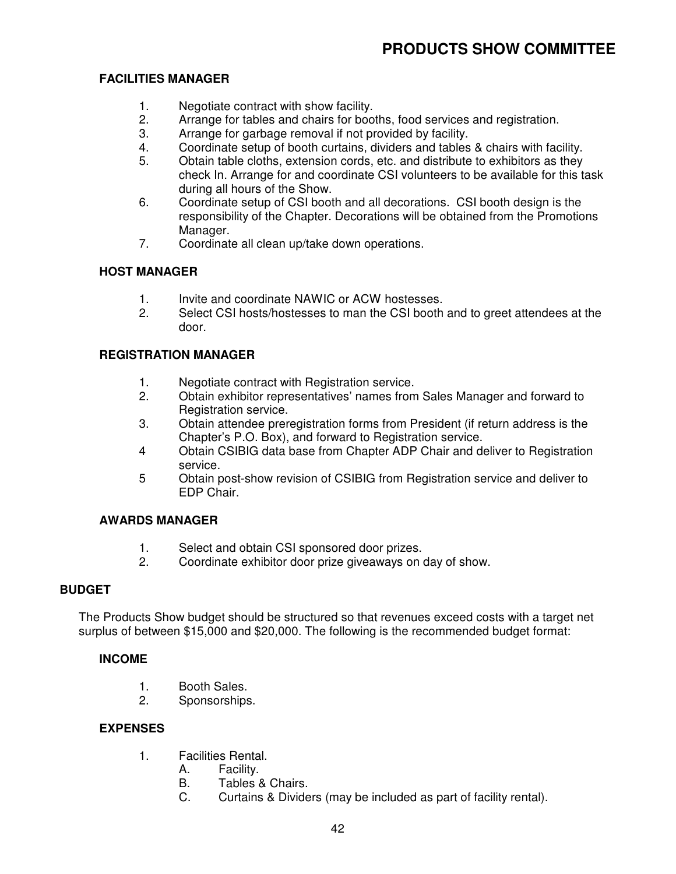# **FACILITIES MANAGER**

- 1. Negotiate contract with show facility.
- 2. Arrange for tables and chairs for booths, food services and registration.<br>3. Arrange for garbage removal if not provided by facility.
- Arrange for garbage removal if not provided by facility.
- 4. Coordinate setup of booth curtains, dividers and tables & chairs with facility.
- 5. Obtain table cloths, extension cords, etc. and distribute to exhibitors as they check In. Arrange for and coordinate CSI volunteers to be available for this task during all hours of the Show.
- 6. Coordinate setup of CSI booth and all decorations. CSI booth design is the responsibility of the Chapter. Decorations will be obtained from the Promotions Manager.
- 7. Coordinate all clean up/take down operations.

# **HOST MANAGER**

- 1. Invite and coordinate NAWIC or ACW hostesses.
- 2. Select CSI hosts/hostesses to man the CSI booth and to greet attendees at the door.

# **REGISTRATION MANAGER**

- 1. Negotiate contract with Registration service.
- 2. Obtain exhibitor representatives' names from Sales Manager and forward to Registration service.
- 3. Obtain attendee preregistration forms from President (if return address is the Chapter's P.O. Box), and forward to Registration service.
- 4 Obtain CSIBIG data base from Chapter ADP Chair and deliver to Registration service.
- 5 Obtain post-show revision of CSIBIG from Registration service and deliver to EDP Chair.

#### **AWARDS MANAGER**

- 1. Select and obtain CSI sponsored door prizes.
- 2. Coordinate exhibitor door prize giveaways on day of show.

#### **BUDGET**

The Products Show budget should be structured so that revenues exceed costs with a target net surplus of between \$15,000 and \$20,000. The following is the recommended budget format:

#### **INCOME**

- 1. Booth Sales.
- 2. Sponsorships.

#### **EXPENSES**

- 1. Facilities Rental.
	- A. Facility.
	- B. Tables & Chairs.
	- C. Curtains & Dividers (may be included as part of facility rental).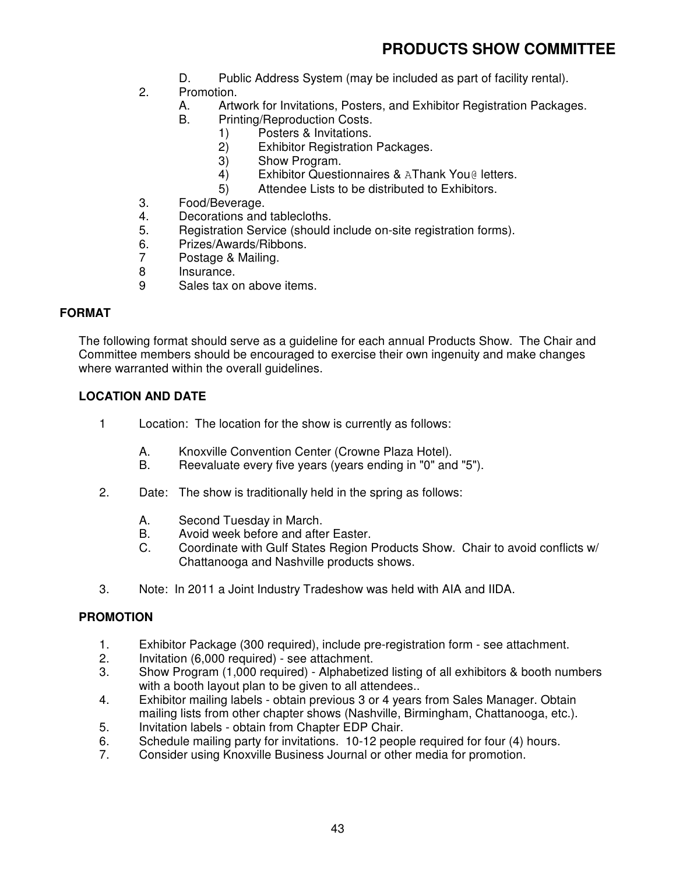- D. Public Address System (may be included as part of facility rental).
- 2. Promotion.
	- A. Artwork for Invitations, Posters, and Exhibitor Registration Packages.
	- B. Printing/Reproduction Costs.
		- 1) Posters & Invitations.
			- 2) Exhibitor Registration Packages.
			- 3) Show Program.
			- 4) Exhibitor Questionnaires & AThank You@ letters.
			- 5) Attendee Lists to be distributed to Exhibitors.
- 3. Food/Beverage.
- 4. Decorations and tablecloths.
- 5. Registration Service (should include on-site registration forms).
- 6. Prizes/Awards/Ribbons.
- 7 Postage & Mailing.
- 8 Insurance.<br>9 Sales tax o
- Sales tax on above items.

#### **FORMAT**

The following format should serve as a guideline for each annual Products Show. The Chair and Committee members should be encouraged to exercise their own ingenuity and make changes where warranted within the overall guidelines.

#### **LOCATION AND DATE**

- 1 Location: The location for the show is currently as follows:
	- A. Knoxville Convention Center (Crowne Plaza Hotel).
	- B. Reevaluate every five years (years ending in "0" and "5").
- 2. Date: The show is traditionally held in the spring as follows:
	- A. Second Tuesday in March.
	- B. Avoid week before and after Easter.<br>C. Coordinate with Gulf States Region F
	- Coordinate with Gulf States Region Products Show. Chair to avoid conflicts w/ Chattanooga and Nashville products shows.
- 3. Note: In 2011 a Joint Industry Tradeshow was held with AIA and IIDA.

# **PROMOTION**

- 1. Exhibitor Package (300 required), include pre-registration form see attachment.
- 2. Invitation (6,000 required) see attachment.
- 3. Show Program (1,000 required) Alphabetized listing of all exhibitors & booth numbers with a booth layout plan to be given to all attendees..
- 4. Exhibitor mailing labels obtain previous 3 or 4 years from Sales Manager. Obtain mailing lists from other chapter shows (Nashville, Birmingham, Chattanooga, etc.).
- 5. Invitation labels obtain from Chapter EDP Chair.<br>6. Schedule mailing party for invitations. 10-12 peop
- Schedule mailing party for invitations. 10-12 people required for four (4) hours.
- 7. Consider using Knoxville Business Journal or other media for promotion.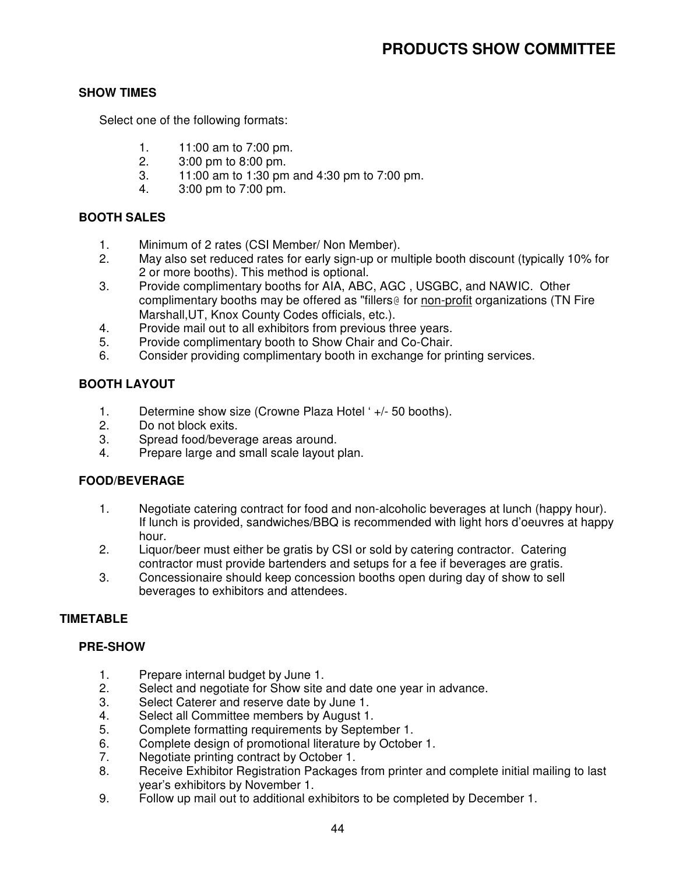# **SHOW TIMES**

Select one of the following formats:

- 1. 11:00 am to 7:00 pm.
- 2. 3:00 pm to 8:00 pm.
- 3. 11:00 am to 1:30 pm and 4:30 pm to 7:00 pm.
- 4. 3:00 pm to 7:00 pm.

## **BOOTH SALES**

- 1. Minimum of 2 rates (CSI Member/ Non Member).
- 2. May also set reduced rates for early sign-up or multiple booth discount (typically 10% for 2 or more booths). This method is optional.
- 3. Provide complimentary booths for AIA, ABC, AGC , USGBC, and NAWIC. Other complimentary booths may be offered as "fillers@ for non-profit organizations (TN Fire Marshall,UT, Knox County Codes officials, etc.).
- 4. Provide mail out to all exhibitors from previous three years.
- 5. Provide complimentary booth to Show Chair and Co-Chair.
- 6. Consider providing complimentary booth in exchange for printing services.

# **BOOTH LAYOUT**

- 1. Determine show size (Crowne Plaza Hotel ' +/- 50 booths).
- 2. Do not block exits.
- 3. Spread food/beverage areas around.
- 4. Prepare large and small scale layout plan.

#### **FOOD/BEVERAGE**

- 1. Negotiate catering contract for food and non-alcoholic beverages at lunch (happy hour). If lunch is provided, sandwiches/BBQ is recommended with light hors d'oeuvres at happy hour.
- 2. Liquor/beer must either be gratis by CSI or sold by catering contractor. Catering contractor must provide bartenders and setups for a fee if beverages are gratis.
- 3. Concessionaire should keep concession booths open during day of show to sell beverages to exhibitors and attendees.

# **TIMETABLE**

#### **PRE-SHOW**

- 1. Prepare internal budget by June 1.
- 2. Select and negotiate for Show site and date one year in advance.
- 3. Select Caterer and reserve date by June 1.
- 4. Select all Committee members by August 1.
- 5. Complete formatting requirements by September 1.
- 6. Complete design of promotional literature by October 1.
- 7. Negotiate printing contract by October 1.
- 8. Receive Exhibitor Registration Packages from printer and complete initial mailing to last year's exhibitors by November 1.
- 9. Follow up mail out to additional exhibitors to be completed by December 1.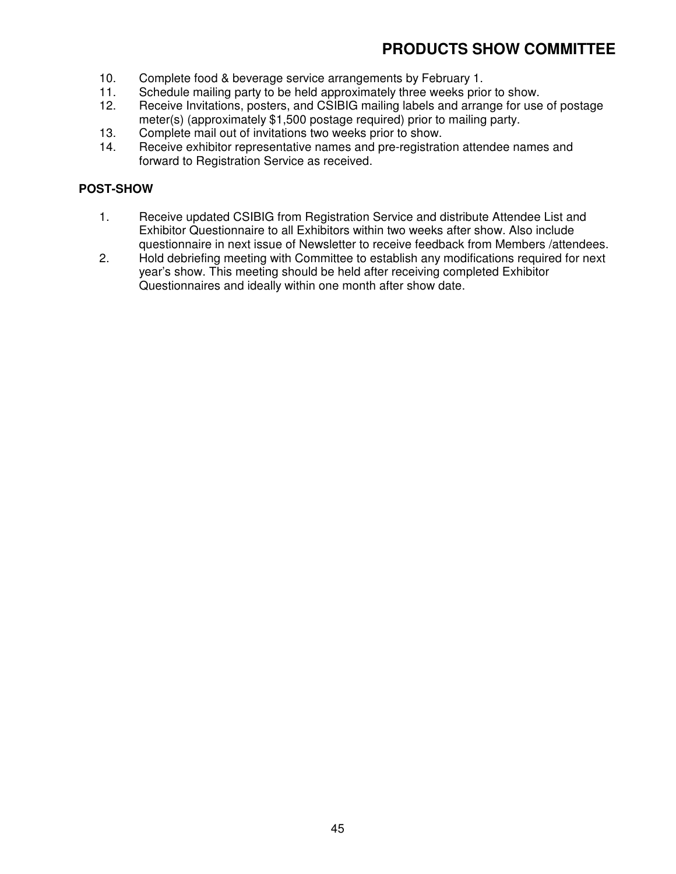- 10. Complete food & beverage service arrangements by February 1.
- 11. Schedule mailing party to be held approximately three weeks prior to show.
- 12. Receive Invitations, posters, and CSIBIG mailing labels and arrange for use of postage meter(s) (approximately \$1,500 postage required) prior to mailing party.
- 13. Complete mail out of invitations two weeks prior to show.
- 14. Receive exhibitor representative names and pre-registration attendee names and forward to Registration Service as received.

# **POST-SHOW**

- 1. Receive updated CSIBIG from Registration Service and distribute Attendee List and Exhibitor Questionnaire to all Exhibitors within two weeks after show. Also include questionnaire in next issue of Newsletter to receive feedback from Members /attendees.
- 2. Hold debriefing meeting with Committee to establish any modifications required for next year's show. This meeting should be held after receiving completed Exhibitor Questionnaires and ideally within one month after show date.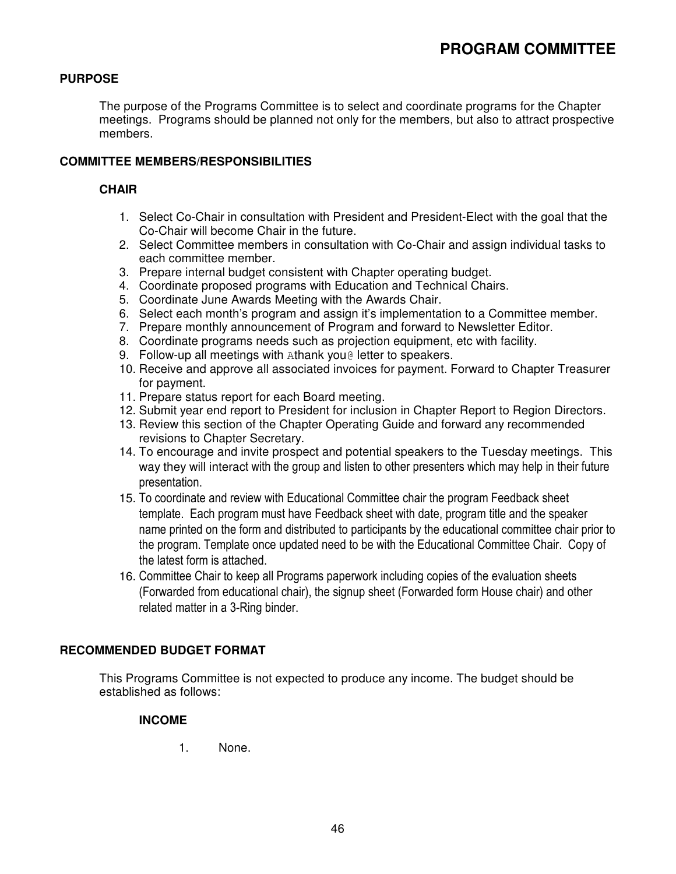# **PURPOSE**

The purpose of the Programs Committee is to select and coordinate programs for the Chapter meetings. Programs should be planned not only for the members, but also to attract prospective members.

### **COMMITTEE MEMBERS/RESPONSIBILITIES**

#### **CHAIR**

- 1. Select Co-Chair in consultation with President and President-Elect with the goal that the Co-Chair will become Chair in the future.
- 2. Select Committee members in consultation with Co-Chair and assign individual tasks to each committee member.
- 3. Prepare internal budget consistent with Chapter operating budget.
- 4. Coordinate proposed programs with Education and Technical Chairs.
- 5. Coordinate June Awards Meeting with the Awards Chair.
- 6. Select each month's program and assign it's implementation to a Committee member.
- 7. Prepare monthly announcement of Program and forward to Newsletter Editor.
- 8. Coordinate programs needs such as projection equipment, etc with facility.
- 9. Follow-up all meetings with Athank you@ letter to speakers.
- 10. Receive and approve all associated invoices for payment. Forward to Chapter Treasurer for payment.
- 11. Prepare status report for each Board meeting.
- 12. Submit year end report to President for inclusion in Chapter Report to Region Directors.
- 13. Review this section of the Chapter Operating Guide and forward any recommended revisions to Chapter Secretary.
- 14. To encourage and invite prospect and potential speakers to the Tuesday meetings. This way they will interact with the group and listen to other presenters which may help in their future presentation.
- 15. To coordinate and review with Educational Committee chair the program Feedback sheet template. Each program must have Feedback sheet with date, program title and the speaker name printed on the form and distributed to participants by the educational committee chair prior to the program. Template once updated need to be with the Educational Committee Chair. Copy of the latest form is attached.
- 16. Committee Chair to keep all Programs paperwork including copies of the evaluation sheets (Forwarded from educational chair), the signup sheet (Forwarded form House chair) and other related matter in a 3-Ring binder.

#### **RECOMMENDED BUDGET FORMAT**

This Programs Committee is not expected to produce any income. The budget should be established as follows:

#### **INCOME**

1. None.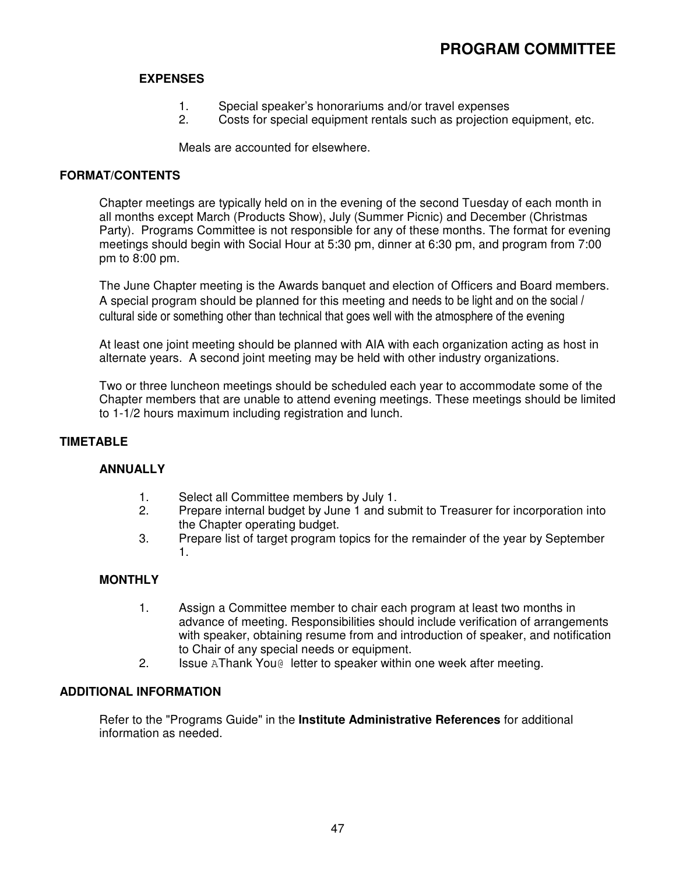# **EXPENSES**

- 1. Special speaker's honorariums and/or travel expenses
- 2. Costs for special equipment rentals such as projection equipment, etc.

Meals are accounted for elsewhere.

### **FORMAT/CONTENTS**

Chapter meetings are typically held on in the evening of the second Tuesday of each month in all months except March (Products Show), July (Summer Picnic) and December (Christmas Party). Programs Committee is not responsible for any of these months. The format for evening meetings should begin with Social Hour at 5:30 pm, dinner at 6:30 pm, and program from 7:00 pm to 8:00 pm.

The June Chapter meeting is the Awards banquet and election of Officers and Board members. A special program should be planned for this meeting and needs to be light and on the social / cultural side or something other than technical that goes well with the atmosphere of the evening

At least one joint meeting should be planned with AIA with each organization acting as host in alternate years. A second joint meeting may be held with other industry organizations.

Two or three luncheon meetings should be scheduled each year to accommodate some of the Chapter members that are unable to attend evening meetings. These meetings should be limited to 1-1/2 hours maximum including registration and lunch.

# **TIMETABLE**

# **ANNUALLY**

- 1. Select all Committee members by July 1.
- 2. Prepare internal budget by June 1 and submit to Treasurer for incorporation into the Chapter operating budget.
- 3. Prepare list of target program topics for the remainder of the year by September 1.

# **MONTHLY**

- 1. Assign a Committee member to chair each program at least two months in advance of meeting. Responsibilities should include verification of arrangements with speaker, obtaining resume from and introduction of speaker, and notification to Chair of any special needs or equipment.
- 2. Issue AThank You@ letter to speaker within one week after meeting.

#### **ADDITIONAL INFORMATION**

Refer to the "Programs Guide" in the **Institute Administrative References** for additional information as needed.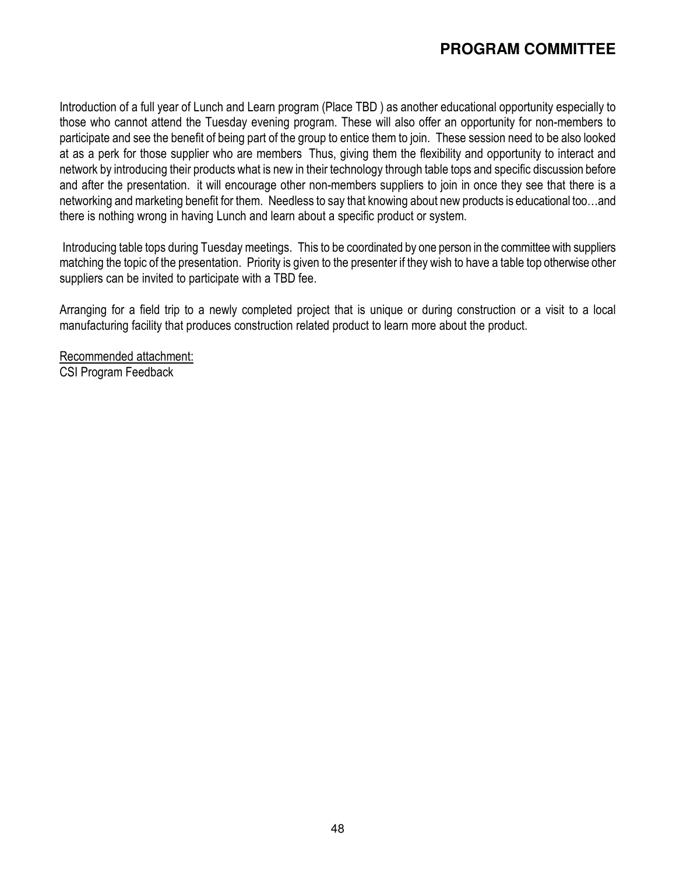# **PROGRAM COMMITTEE**

Introduction of a full year of Lunch and Learn program (Place TBD ) as another educational opportunity especially to those who cannot attend the Tuesday evening program. These will also offer an opportunity for non-members to participate and see the benefit of being part of the group to entice them to join. These session need to be also looked at as a perk for those supplier who are members Thus, giving them the flexibility and opportunity to interact and network by introducing their products what is new in their technology through table tops and specific discussion before and after the presentation. it will encourage other non-members suppliers to join in once they see that there is a networking and marketing benefit for them. Needless to say that knowing about new products is educational too…and there is nothing wrong in having Lunch and learn about a specific product or system.

 Introducing table tops during Tuesday meetings. This to be coordinated by one person in the committee with suppliers matching the topic of the presentation. Priority is given to the presenter if they wish to have a table top otherwise other suppliers can be invited to participate with a TBD fee.

Arranging for a field trip to a newly completed project that is unique or during construction or a visit to a local manufacturing facility that produces construction related product to learn more about the product.

Recommended attachment: CSI Program Feedback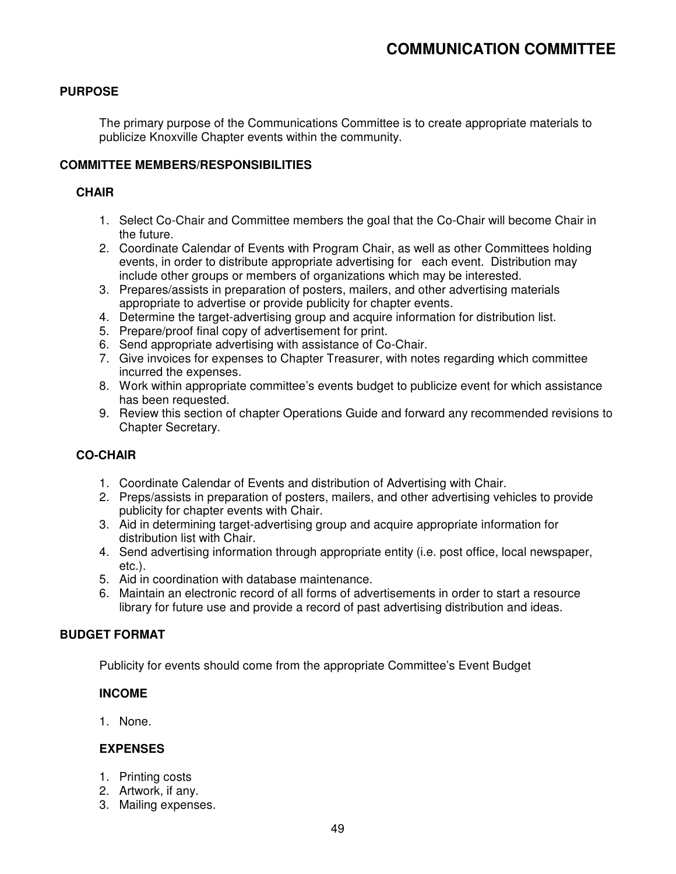# **PURPOSE**

The primary purpose of the Communications Committee is to create appropriate materials to publicize Knoxville Chapter events within the community.

#### **COMMITTEE MEMBERS/RESPONSIBILITIES**

#### **CHAIR**

- 1. Select Co-Chair and Committee members the goal that the Co-Chair will become Chair in the future.
- 2. Coordinate Calendar of Events with Program Chair, as well as other Committees holding events, in order to distribute appropriate advertising for each event. Distribution may include other groups or members of organizations which may be interested.
- 3. Prepares/assists in preparation of posters, mailers, and other advertising materials appropriate to advertise or provide publicity for chapter events.
- 4. Determine the target-advertising group and acquire information for distribution list.
- 5. Prepare/proof final copy of advertisement for print.
- 6. Send appropriate advertising with assistance of Co-Chair.
- 7. Give invoices for expenses to Chapter Treasurer, with notes regarding which committee incurred the expenses.
- 8. Work within appropriate committee's events budget to publicize event for which assistance has been requested.
- 9. Review this section of chapter Operations Guide and forward any recommended revisions to Chapter Secretary.

#### **CO-CHAIR**

- 1. Coordinate Calendar of Events and distribution of Advertising with Chair.
- 2. Preps/assists in preparation of posters, mailers, and other advertising vehicles to provide publicity for chapter events with Chair.
- 3. Aid in determining target-advertising group and acquire appropriate information for distribution list with Chair.
- 4. Send advertising information through appropriate entity (i.e. post office, local newspaper, etc.).
- 5. Aid in coordination with database maintenance.
- 6. Maintain an electronic record of all forms of advertisements in order to start a resource library for future use and provide a record of past advertising distribution and ideas.

#### **BUDGET FORMAT**

Publicity for events should come from the appropriate Committee's Event Budget

#### **INCOME**

1. None.

#### **EXPENSES**

- 1. Printing costs
- 2. Artwork, if any.
- 3. Mailing expenses.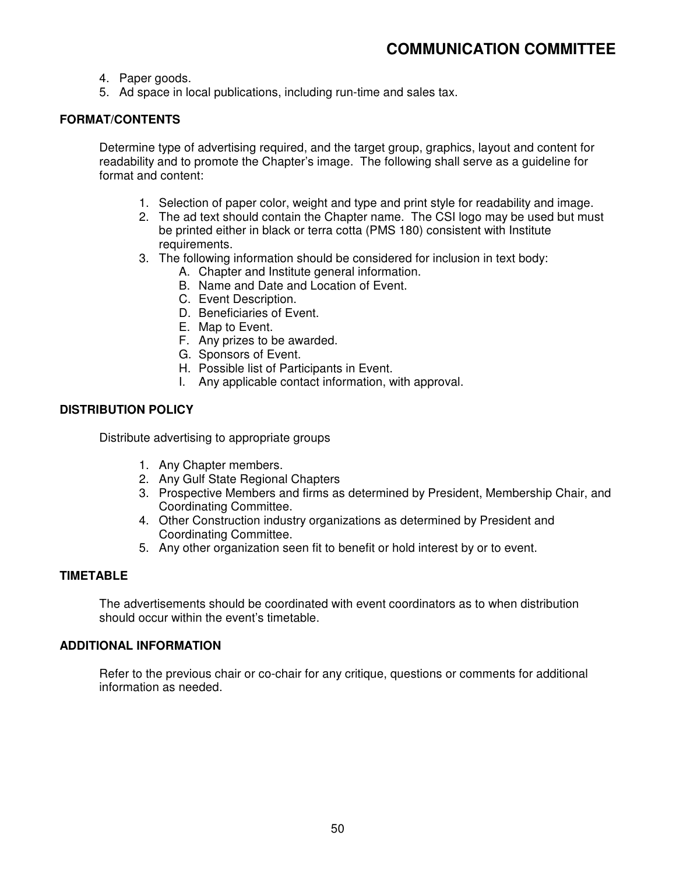- 4. Paper goods.
- 5. Ad space in local publications, including run-time and sales tax.

# **FORMAT/CONTENTS**

Determine type of advertising required, and the target group, graphics, layout and content for readability and to promote the Chapter's image. The following shall serve as a guideline for format and content:

- 1. Selection of paper color, weight and type and print style for readability and image.
- 2. The ad text should contain the Chapter name. The CSI logo may be used but must be printed either in black or terra cotta (PMS 180) consistent with Institute requirements.
- 3. The following information should be considered for inclusion in text body:
	- A. Chapter and Institute general information.
	- B. Name and Date and Location of Event.
	- C. Event Description.
	- D. Beneficiaries of Event.
	- E. Map to Event.
	- F. Any prizes to be awarded.
	- G. Sponsors of Event.
	- H. Possible list of Participants in Event.
	- I. Any applicable contact information, with approval.

#### **DISTRIBUTION POLICY**

Distribute advertising to appropriate groups

- 1. Any Chapter members.
- 2. Any Gulf State Regional Chapters
- 3. Prospective Members and firms as determined by President, Membership Chair, and Coordinating Committee.
- 4. Other Construction industry organizations as determined by President and Coordinating Committee.
- 5. Any other organization seen fit to benefit or hold interest by or to event.

#### **TIMETABLE**

The advertisements should be coordinated with event coordinators as to when distribution should occur within the event's timetable.

# **ADDITIONAL INFORMATION**

Refer to the previous chair or co-chair for any critique, questions or comments for additional information as needed.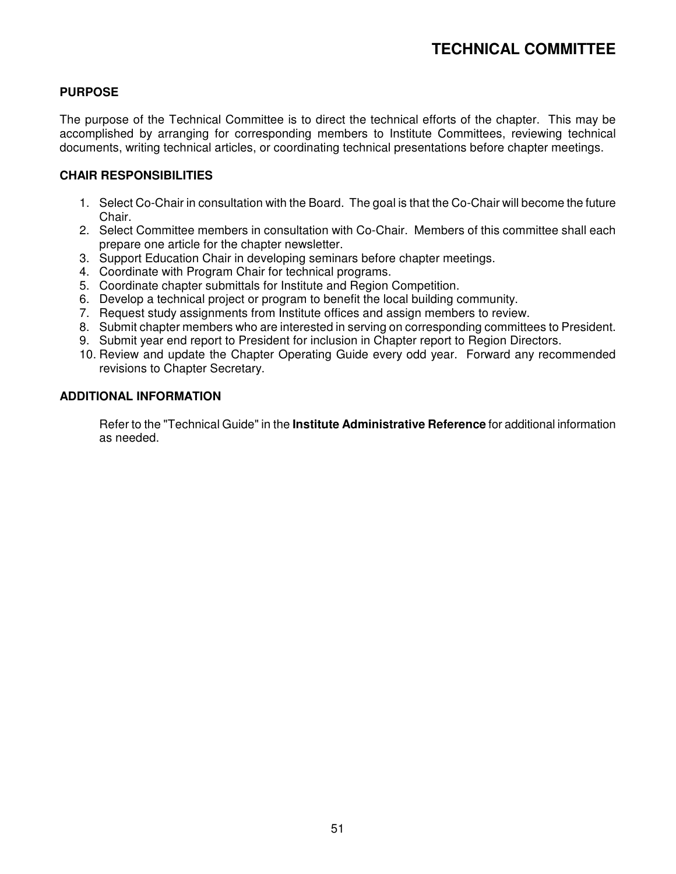# **PURPOSE**

The purpose of the Technical Committee is to direct the technical efforts of the chapter. This may be accomplished by arranging for corresponding members to Institute Committees, reviewing technical documents, writing technical articles, or coordinating technical presentations before chapter meetings.

#### **CHAIR RESPONSIBILITIES**

- 1. Select Co-Chair in consultation with the Board. The goal is that the Co-Chair will become the future Chair.
- 2. Select Committee members in consultation with Co-Chair. Members of this committee shall each prepare one article for the chapter newsletter.
- 3. Support Education Chair in developing seminars before chapter meetings.
- 4. Coordinate with Program Chair for technical programs.
- 5. Coordinate chapter submittals for Institute and Region Competition.
- 6. Develop a technical project or program to benefit the local building community.
- 7. Request study assignments from Institute offices and assign members to review.
- 8. Submit chapter members who are interested in serving on corresponding committees to President.
- 9. Submit year end report to President for inclusion in Chapter report to Region Directors.
- 10. Review and update the Chapter Operating Guide every odd year. Forward any recommended revisions to Chapter Secretary.

#### **ADDITIONAL INFORMATION**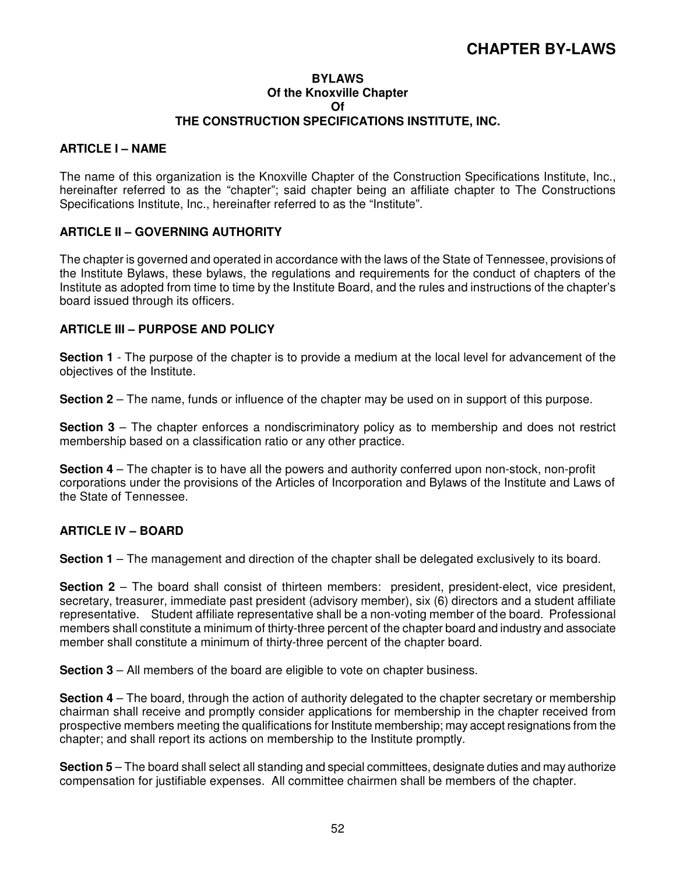# **CHAPTER BY-LAWS**

#### **BYLAWS Of the Knoxville Chapter Of THE CONSTRUCTION SPECIFICATIONS INSTITUTE, INC.**

#### **ARTICLE I – NAME**

The name of this organization is the Knoxville Chapter of the Construction Specifications Institute, Inc., hereinafter referred to as the "chapter"; said chapter being an affiliate chapter to The Constructions Specifications Institute, Inc., hereinafter referred to as the "Institute".

#### **ARTICLE II – GOVERNING AUTHORITY**

The chapter is governed and operated in accordance with the laws of the State of Tennessee, provisions of the Institute Bylaws, these bylaws, the regulations and requirements for the conduct of chapters of the Institute as adopted from time to time by the Institute Board, and the rules and instructions of the chapter's board issued through its officers.

#### **ARTICLE III – PURPOSE AND POLICY**

**Section 1** - The purpose of the chapter is to provide a medium at the local level for advancement of the objectives of the Institute.

**Section 2** – The name, funds or influence of the chapter may be used on in support of this purpose.

**Section 3** – The chapter enforces a nondiscriminatory policy as to membership and does not restrict membership based on a classification ratio or any other practice.

**Section 4** – The chapter is to have all the powers and authority conferred upon non-stock, non-profit corporations under the provisions of the Articles of Incorporation and Bylaws of the Institute and Laws of the State of Tennessee.

#### **ARTICLE IV – BOARD**

**Section 1** – The management and direction of the chapter shall be delegated exclusively to its board.

**Section 2** – The board shall consist of thirteen members: president, president-elect, vice president, secretary, treasurer, immediate past president (advisory member), six (6) directors and a student affiliate representative. Student affiliate representative shall be a non-voting member of the board. Professional members shall constitute a minimum of thirty-three percent of the chapter board and industry and associate member shall constitute a minimum of thirty-three percent of the chapter board.

**Section 3** – All members of the board are eligible to vote on chapter business.

**Section 4** – The board, through the action of authority delegated to the chapter secretary or membership chairman shall receive and promptly consider applications for membership in the chapter received from prospective members meeting the qualifications for Institute membership; may accept resignations from the chapter; and shall report its actions on membership to the Institute promptly.

**Section 5** – The board shall select all standing and special committees, designate duties and may authorize compensation for justifiable expenses. All committee chairmen shall be members of the chapter.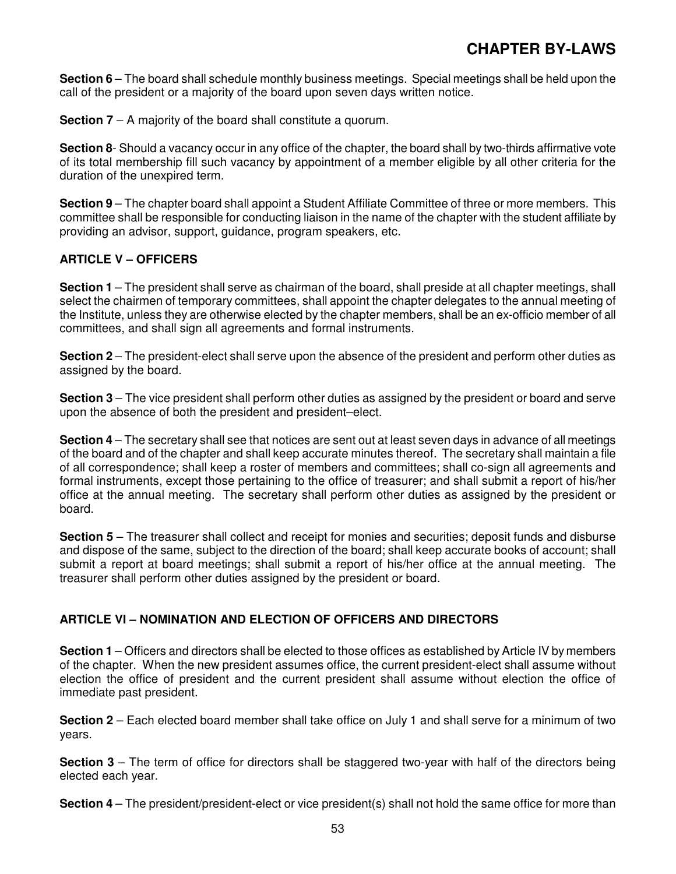**Section 6** – The board shall schedule monthly business meetings. Special meetings shall be held upon the call of the president or a majority of the board upon seven days written notice.

**Section 7** – A majority of the board shall constitute a quorum.

**Section 8**- Should a vacancy occur in any office of the chapter, the board shall by two-thirds affirmative vote of its total membership fill such vacancy by appointment of a member eligible by all other criteria for the duration of the unexpired term.

**Section 9** – The chapter board shall appoint a Student Affiliate Committee of three or more members. This committee shall be responsible for conducting liaison in the name of the chapter with the student affiliate by providing an advisor, support, guidance, program speakers, etc.

# **ARTICLE V – OFFICERS**

**Section 1** – The president shall serve as chairman of the board, shall preside at all chapter meetings, shall select the chairmen of temporary committees, shall appoint the chapter delegates to the annual meeting of the Institute, unless they are otherwise elected by the chapter members, shall be an ex-officio member of all committees, and shall sign all agreements and formal instruments.

**Section 2** – The president-elect shall serve upon the absence of the president and perform other duties as assigned by the board.

**Section 3** – The vice president shall perform other duties as assigned by the president or board and serve upon the absence of both the president and president–elect.

**Section 4** – The secretary shall see that notices are sent out at least seven days in advance of all meetings of the board and of the chapter and shall keep accurate minutes thereof. The secretary shall maintain a file of all correspondence; shall keep a roster of members and committees; shall co-sign all agreements and formal instruments, except those pertaining to the office of treasurer; and shall submit a report of his/her office at the annual meeting. The secretary shall perform other duties as assigned by the president or board.

**Section 5** – The treasurer shall collect and receipt for monies and securities; deposit funds and disburse and dispose of the same, subject to the direction of the board; shall keep accurate books of account; shall submit a report at board meetings; shall submit a report of his/her office at the annual meeting. The treasurer shall perform other duties assigned by the president or board.

# **ARTICLE VI – NOMINATION AND ELECTION OF OFFICERS AND DIRECTORS**

**Section 1** – Officers and directors shall be elected to those offices as established by Article IV by members of the chapter. When the new president assumes office, the current president-elect shall assume without election the office of president and the current president shall assume without election the office of immediate past president.

**Section 2** – Each elected board member shall take office on July 1 and shall serve for a minimum of two years.

**Section 3** – The term of office for directors shall be staggered two-year with half of the directors being elected each year.

**Section 4** – The president/president-elect or vice president(s) shall not hold the same office for more than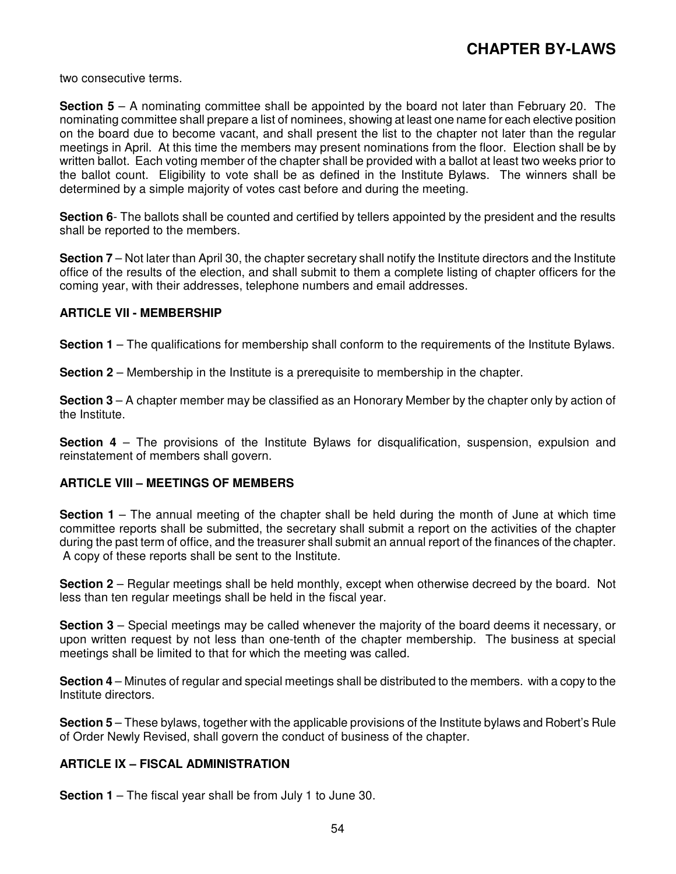two consecutive terms.

**Section 5** – A nominating committee shall be appointed by the board not later than February 20. The nominating committee shall prepare a list of nominees, showing at least one name for each elective position on the board due to become vacant, and shall present the list to the chapter not later than the regular meetings in April. At this time the members may present nominations from the floor. Election shall be by written ballot. Each voting member of the chapter shall be provided with a ballot at least two weeks prior to the ballot count. Eligibility to vote shall be as defined in the Institute Bylaws. The winners shall be determined by a simple majority of votes cast before and during the meeting.

**Section 6**- The ballots shall be counted and certified by tellers appointed by the president and the results shall be reported to the members.

**Section 7** – Not later than April 30, the chapter secretary shall notify the Institute directors and the Institute office of the results of the election, and shall submit to them a complete listing of chapter officers for the coming year, with their addresses, telephone numbers and email addresses.

#### **ARTICLE VII - MEMBERSHIP**

**Section 1** – The qualifications for membership shall conform to the requirements of the Institute Bylaws.

**Section 2** – Membership in the Institute is a prerequisite to membership in the chapter.

**Section 3** – A chapter member may be classified as an Honorary Member by the chapter only by action of the Institute.

**Section 4** – The provisions of the Institute Bylaws for disqualification, suspension, expulsion and reinstatement of members shall govern.

#### **ARTICLE VIII – MEETINGS OF MEMBERS**

**Section 1** – The annual meeting of the chapter shall be held during the month of June at which time committee reports shall be submitted, the secretary shall submit a report on the activities of the chapter during the past term of office, and the treasurer shall submit an annual report of the finances of the chapter. A copy of these reports shall be sent to the Institute.

**Section 2** – Regular meetings shall be held monthly, except when otherwise decreed by the board. Not less than ten regular meetings shall be held in the fiscal year.

**Section 3** – Special meetings may be called whenever the majority of the board deems it necessary, or upon written request by not less than one-tenth of the chapter membership. The business at special meetings shall be limited to that for which the meeting was called.

**Section 4** – Minutes of regular and special meetings shall be distributed to the members. with a copy to the Institute directors.

**Section 5** – These bylaws, together with the applicable provisions of the Institute bylaws and Robert's Rule of Order Newly Revised, shall govern the conduct of business of the chapter.

#### **ARTICLE IX – FISCAL ADMINISTRATION**

**Section 1** – The fiscal year shall be from July 1 to June 30.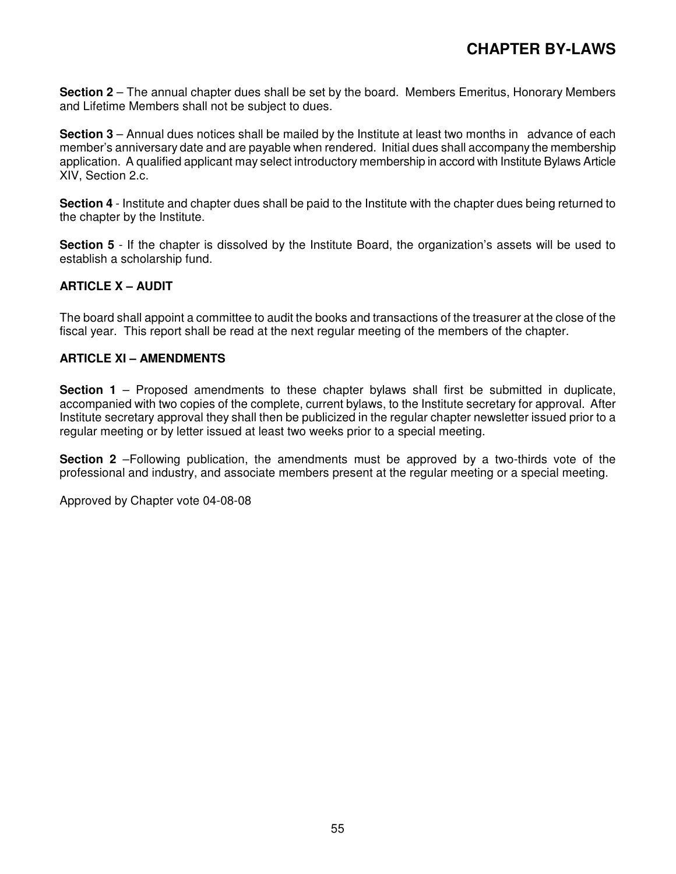**Section 2** – The annual chapter dues shall be set by the board. Members Emeritus, Honorary Members and Lifetime Members shall not be subject to dues.

**Section 3** – Annual dues notices shall be mailed by the Institute at least two months in advance of each member's anniversary date and are payable when rendered. Initial dues shall accompany the membership application. A qualified applicant may select introductory membership in accord with Institute Bylaws Article XIV, Section 2.c.

**Section 4** - Institute and chapter dues shall be paid to the Institute with the chapter dues being returned to the chapter by the Institute.

**Section 5** - If the chapter is dissolved by the Institute Board, the organization's assets will be used to establish a scholarship fund.

#### **ARTICLE X – AUDIT**

The board shall appoint a committee to audit the books and transactions of the treasurer at the close of the fiscal year. This report shall be read at the next regular meeting of the members of the chapter.

#### **ARTICLE XI – AMENDMENTS**

**Section 1** – Proposed amendments to these chapter bylaws shall first be submitted in duplicate. accompanied with two copies of the complete, current bylaws, to the Institute secretary for approval. After Institute secretary approval they shall then be publicized in the regular chapter newsletter issued prior to a regular meeting or by letter issued at least two weeks prior to a special meeting.

**Section 2** –Following publication, the amendments must be approved by a two-thirds vote of the professional and industry, and associate members present at the regular meeting or a special meeting.

Approved by Chapter vote 04-08-08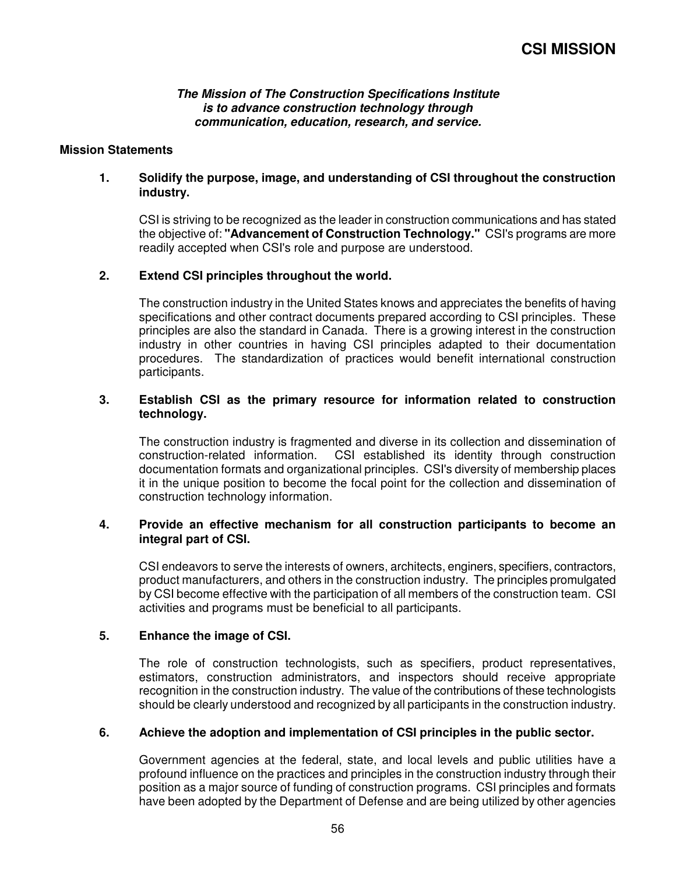**The Mission of The Construction Specifications Institute is to advance construction technology through communication, education, research, and service.**

#### **Mission Statements**

#### **1. Solidify the purpose, image, and understanding of CSI throughout the construction industry.**

CSI is striving to be recognized as the leader in construction communications and has stated the objective of: **"Advancement of Construction Technology."** CSI's programs are more readily accepted when CSI's role and purpose are understood.

#### **2. Extend CSI principles throughout the world.**

The construction industry in the United States knows and appreciates the benefits of having specifications and other contract documents prepared according to CSI principles. These principles are also the standard in Canada. There is a growing interest in the construction industry in other countries in having CSI principles adapted to their documentation procedures. The standardization of practices would benefit international construction participants.

#### **3. Establish CSI as the primary resource for information related to construction technology.**

The construction industry is fragmented and diverse in its collection and dissemination of construction-related information. CSI established its identity through construction documentation formats and organizational principles. CSI's diversity of membership places it in the unique position to become the focal point for the collection and dissemination of construction technology information.

#### **4. Provide an effective mechanism for all construction participants to become an integral part of CSI.**

CSI endeavors to serve the interests of owners, architects, enginers, specifiers, contractors, product manufacturers, and others in the construction industry. The principles promulgated by CSI become effective with the participation of all members of the construction team. CSI activities and programs must be beneficial to all participants.

#### **5. Enhance the image of CSI.**

The role of construction technologists, such as specifiers, product representatives, estimators, construction administrators, and inspectors should receive appropriate recognition in the construction industry. The value of the contributions of these technologists should be clearly understood and recognized by all participants in the construction industry.

#### **6. Achieve the adoption and implementation of CSI principles in the public sector.**

Government agencies at the federal, state, and local levels and public utilities have a profound influence on the practices and principles in the construction industry through their position as a major source of funding of construction programs. CSI principles and formats have been adopted by the Department of Defense and are being utilized by other agencies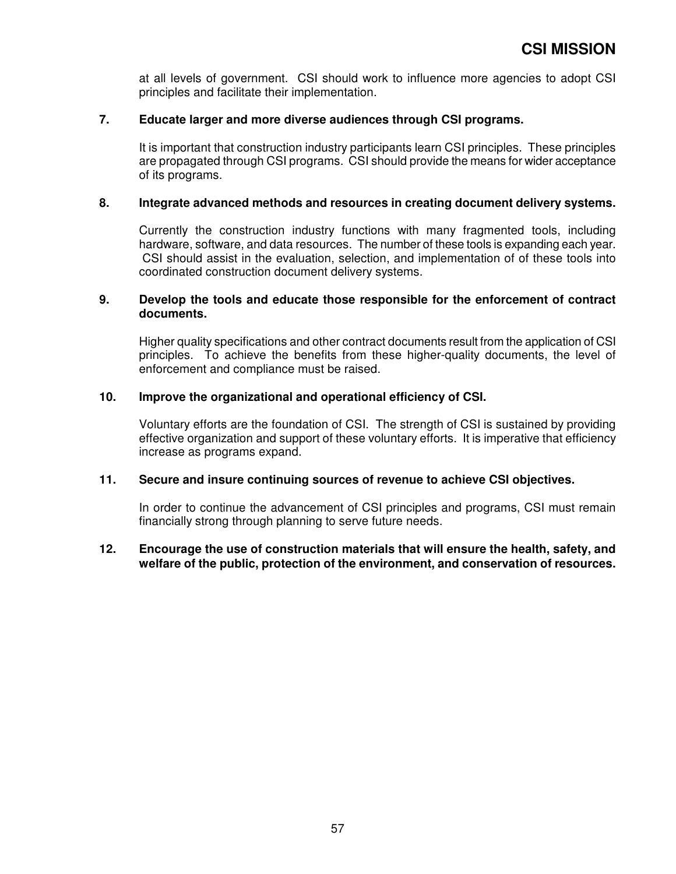at all levels of government. CSI should work to influence more agencies to adopt CSI principles and facilitate their implementation.

#### **7. Educate larger and more diverse audiences through CSI programs.**

It is important that construction industry participants learn CSI principles. These principles are propagated through CSI programs. CSI should provide the means for wider acceptance of its programs.

#### **8. Integrate advanced methods and resources in creating document delivery systems.**

Currently the construction industry functions with many fragmented tools, including hardware, software, and data resources. The number of these tools is expanding each year. CSI should assist in the evaluation, selection, and implementation of of these tools into coordinated construction document delivery systems.

#### **9. Develop the tools and educate those responsible for the enforcement of contract documents.**

Higher quality specifications and other contract documents result from the application of CSI principles. To achieve the benefits from these higher-quality documents, the level of enforcement and compliance must be raised.

#### **10. Improve the organizational and operational efficiency of CSI.**

Voluntary efforts are the foundation of CSI. The strength of CSI is sustained by providing effective organization and support of these voluntary efforts. It is imperative that efficiency increase as programs expand.

#### **11. Secure and insure continuing sources of revenue to achieve CSI objectives.**

In order to continue the advancement of CSI principles and programs, CSI must remain financially strong through planning to serve future needs.

#### **12. Encourage the use of construction materials that will ensure the health, safety, and welfare of the public, protection of the environment, and conservation of resources.**